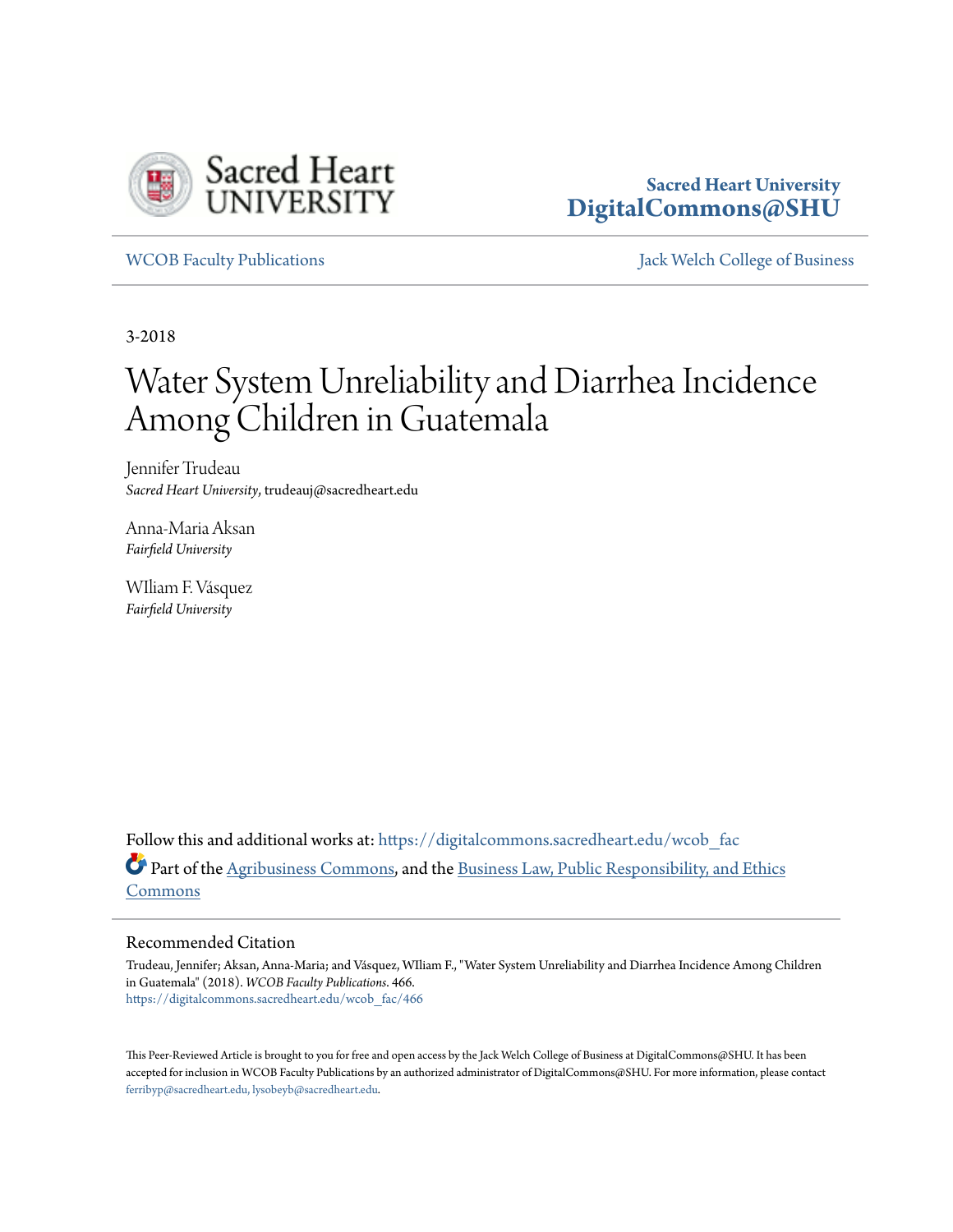

# **Sacred Heart University [DigitalCommons@SHU](https://digitalcommons.sacredheart.edu?utm_source=digitalcommons.sacredheart.edu%2Fwcob_fac%2F466&utm_medium=PDF&utm_campaign=PDFCoverPages)**

[WCOB Faculty Publications](https://digitalcommons.sacredheart.edu/wcob_fac?utm_source=digitalcommons.sacredheart.edu%2Fwcob_fac%2F466&utm_medium=PDF&utm_campaign=PDFCoverPages) [Jack Welch College of Business](https://digitalcommons.sacredheart.edu/wcob?utm_source=digitalcommons.sacredheart.edu%2Fwcob_fac%2F466&utm_medium=PDF&utm_campaign=PDFCoverPages)

3-2018

# Water System Unreliability and Diarrhea Incidence Among Children in Guatemala

Jennifer Trudeau *Sacred Heart University*, trudeauj@sacredheart.edu

Anna-Maria Aksan *Fairfield University*

WIliam F. Vásquez *Fairfield University*

Follow this and additional works at: [https://digitalcommons.sacredheart.edu/wcob\\_fac](https://digitalcommons.sacredheart.edu/wcob_fac?utm_source=digitalcommons.sacredheart.edu%2Fwcob_fac%2F466&utm_medium=PDF&utm_campaign=PDFCoverPages) Part of the [Agribusiness Commons,](http://network.bepress.com/hgg/discipline/1051?utm_source=digitalcommons.sacredheart.edu%2Fwcob_fac%2F466&utm_medium=PDF&utm_campaign=PDFCoverPages) and the [Business Law, Public Responsibility, and Ethics](http://network.bepress.com/hgg/discipline/628?utm_source=digitalcommons.sacredheart.edu%2Fwcob_fac%2F466&utm_medium=PDF&utm_campaign=PDFCoverPages) [Commons](http://network.bepress.com/hgg/discipline/628?utm_source=digitalcommons.sacredheart.edu%2Fwcob_fac%2F466&utm_medium=PDF&utm_campaign=PDFCoverPages)

# Recommended Citation

Trudeau, Jennifer; Aksan, Anna-Maria; and Vásquez, WIliam F., "Water System Unreliability and Diarrhea Incidence Among Children in Guatemala" (2018). *WCOB Faculty Publications*. 466. [https://digitalcommons.sacredheart.edu/wcob\\_fac/466](https://digitalcommons.sacredheart.edu/wcob_fac/466?utm_source=digitalcommons.sacredheart.edu%2Fwcob_fac%2F466&utm_medium=PDF&utm_campaign=PDFCoverPages)

This Peer-Reviewed Article is brought to you for free and open access by the Jack Welch College of Business at DigitalCommons@SHU. It has been accepted for inclusion in WCOB Faculty Publications by an authorized administrator of DigitalCommons@SHU. For more information, please contact [ferribyp@sacredheart.edu, lysobeyb@sacredheart.edu.](mailto:ferribyp@sacredheart.edu,%20lysobeyb@sacredheart.edu)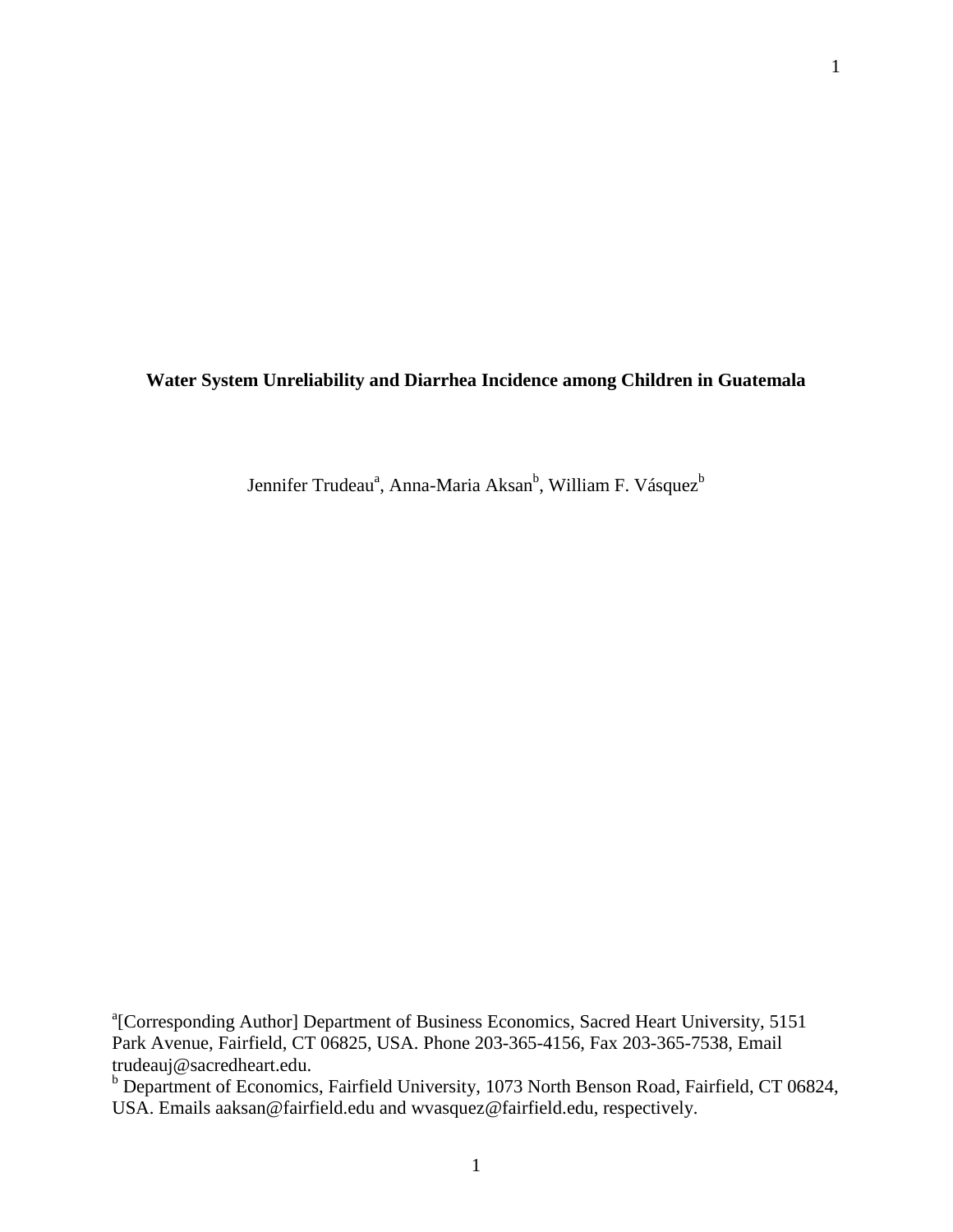**Water System Unreliability and Diarrhea Incidence among Children in Guatemala**

Jennifer Trudeau<sup>a</sup>, Anna-Maria Aksan<sup>b</sup>, William F. Vásquez<sup>b</sup>

<sup>a</sup> [Corresponding Author] Department of Business Economics, Sacred Heart University, 5151 Park Avenue, Fairfield, CT 06825, USA. Phone 203-365-4156, Fax 203-365-7538, Email trudeauj@sacredheart.edu.

<sup>b</sup> Department of Economics, Fairfield University, 1073 North Benson Road, Fairfield, CT 06824, USA. Emails aaksan@fairfield.edu and wvasquez@fairfield.edu, respectively.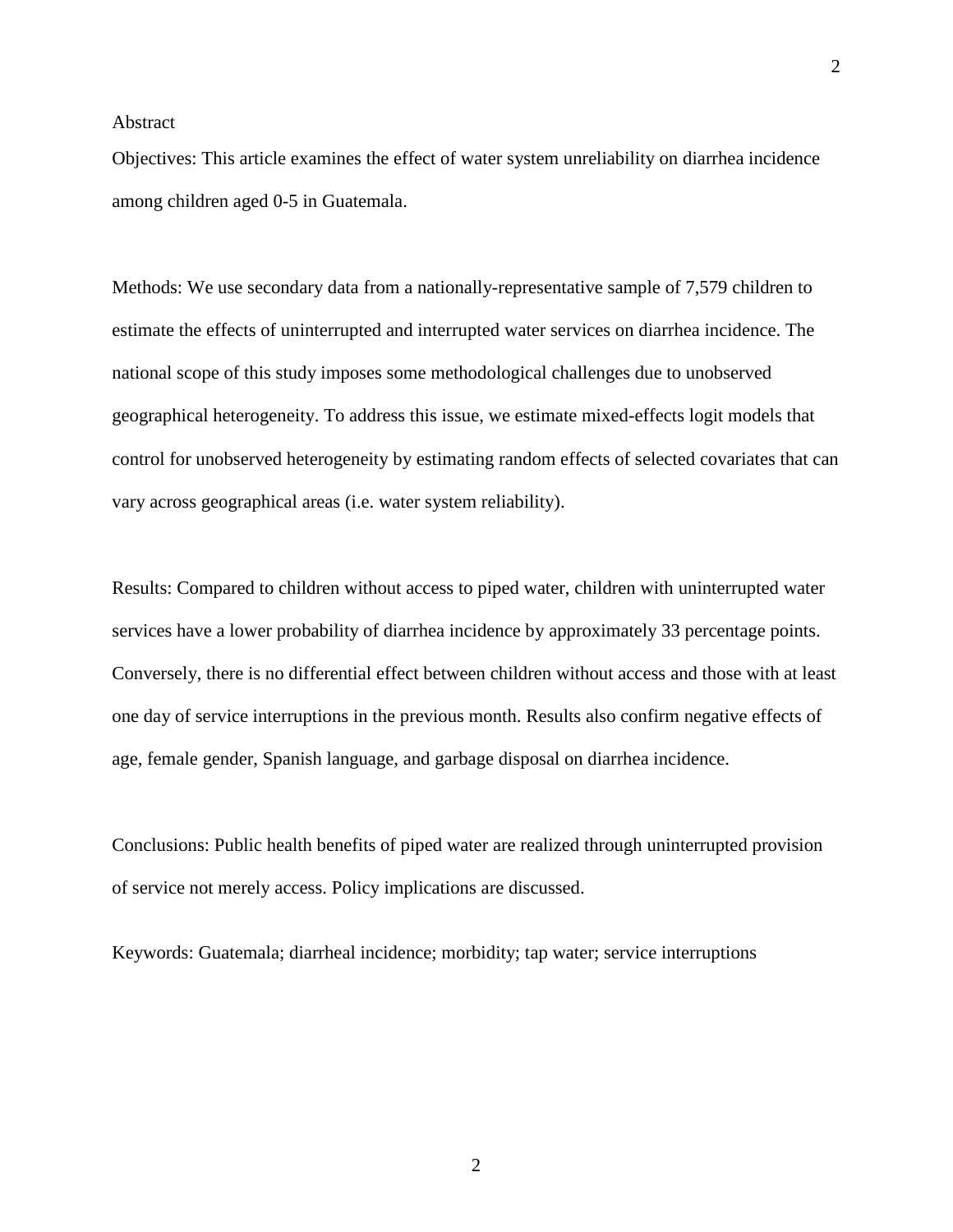# Abstract

Objectives: This article examines the effect of water system unreliability on diarrhea incidence among children aged 0-5 in Guatemala.

Methods: We use secondary data from a nationally-representative sample of 7,579 children to estimate the effects of uninterrupted and interrupted water services on diarrhea incidence. The national scope of this study imposes some methodological challenges due to unobserved geographical heterogeneity. To address this issue, we estimate mixed-effects logit models that control for unobserved heterogeneity by estimating random effects of selected covariates that can vary across geographical areas (i.e. water system reliability).

Results: Compared to children without access to piped water, children with uninterrupted water services have a lower probability of diarrhea incidence by approximately 33 percentage points. Conversely, there is no differential effect between children without access and those with at least one day of service interruptions in the previous month. Results also confirm negative effects of age, female gender, Spanish language, and garbage disposal on diarrhea incidence.

Conclusions: Public health benefits of piped water are realized through uninterrupted provision of service not merely access. Policy implications are discussed.

Keywords: Guatemala; diarrheal incidence; morbidity; tap water; service interruptions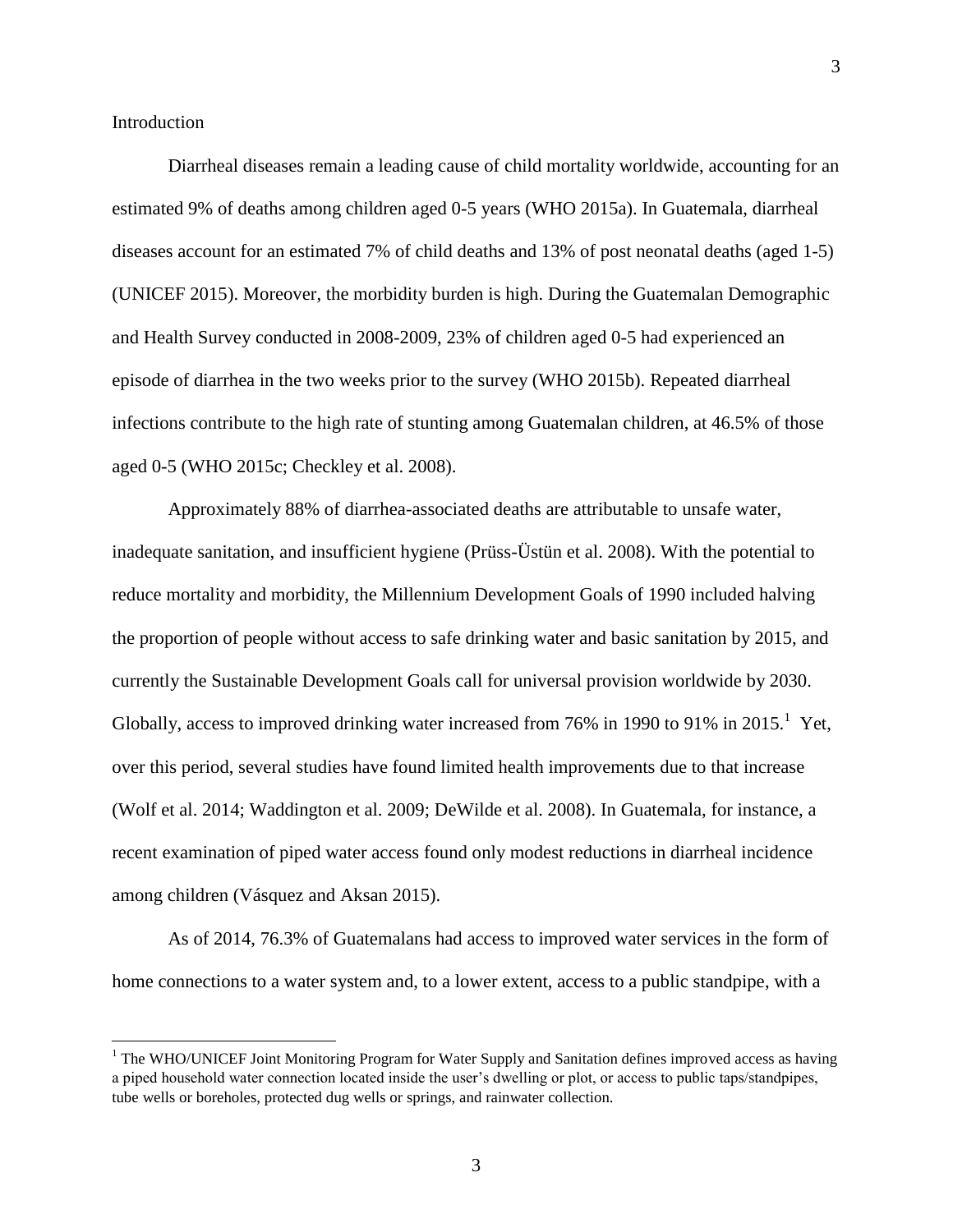3

#### Introduction

 $\overline{\phantom{a}}$ 

Diarrheal diseases remain a leading cause of child mortality worldwide, accounting for an estimated 9% of deaths among children aged 0-5 years (WHO 2015a). In Guatemala, diarrheal diseases account for an estimated 7% of child deaths and 13% of post neonatal deaths (aged 1-5) (UNICEF 2015). Moreover, the morbidity burden is high. During the Guatemalan Demographic and Health Survey conducted in 2008-2009, 23% of children aged 0-5 had experienced an episode of diarrhea in the two weeks prior to the survey (WHO 2015b). Repeated diarrheal infections contribute to the high rate of stunting among Guatemalan children, at 46.5% of those aged 0-5 (WHO 2015c; Checkley et al. 2008).

Approximately 88% of diarrhea-associated deaths are attributable to unsafe water, inadequate sanitation, and insufficient hygiene (Prüss-Üstün et al. 2008). With the potential to reduce mortality and morbidity, the Millennium Development Goals of 1990 included halving the proportion of people without access to safe drinking water and basic sanitation by 2015, and currently the Sustainable Development Goals call for universal provision worldwide by 2030. Globally, access to improved drinking water increased from  $76\%$  in 1990 to 91% in 2015.<sup>1</sup> Yet, over this period, several studies have found limited health improvements due to that increase (Wolf et al. 2014; Waddington et al. 2009; DeWilde et al. 2008). In Guatemala, for instance, a recent examination of piped water access found only modest reductions in diarrheal incidence among children (Vásquez and Aksan 2015).

As of 2014, 76.3% of Guatemalans had access to improved water services in the form of home connections to a water system and, to a lower extent, access to a public standpipe, with a

 $<sup>1</sup>$  The WHO/UNICEF Joint Monitoring Program for Water Supply and Sanitation defines improved access as having</sup> a piped household water connection located inside the user's dwelling or plot, or access to public taps/standpipes, tube wells or boreholes, protected dug wells or springs, and rainwater collection.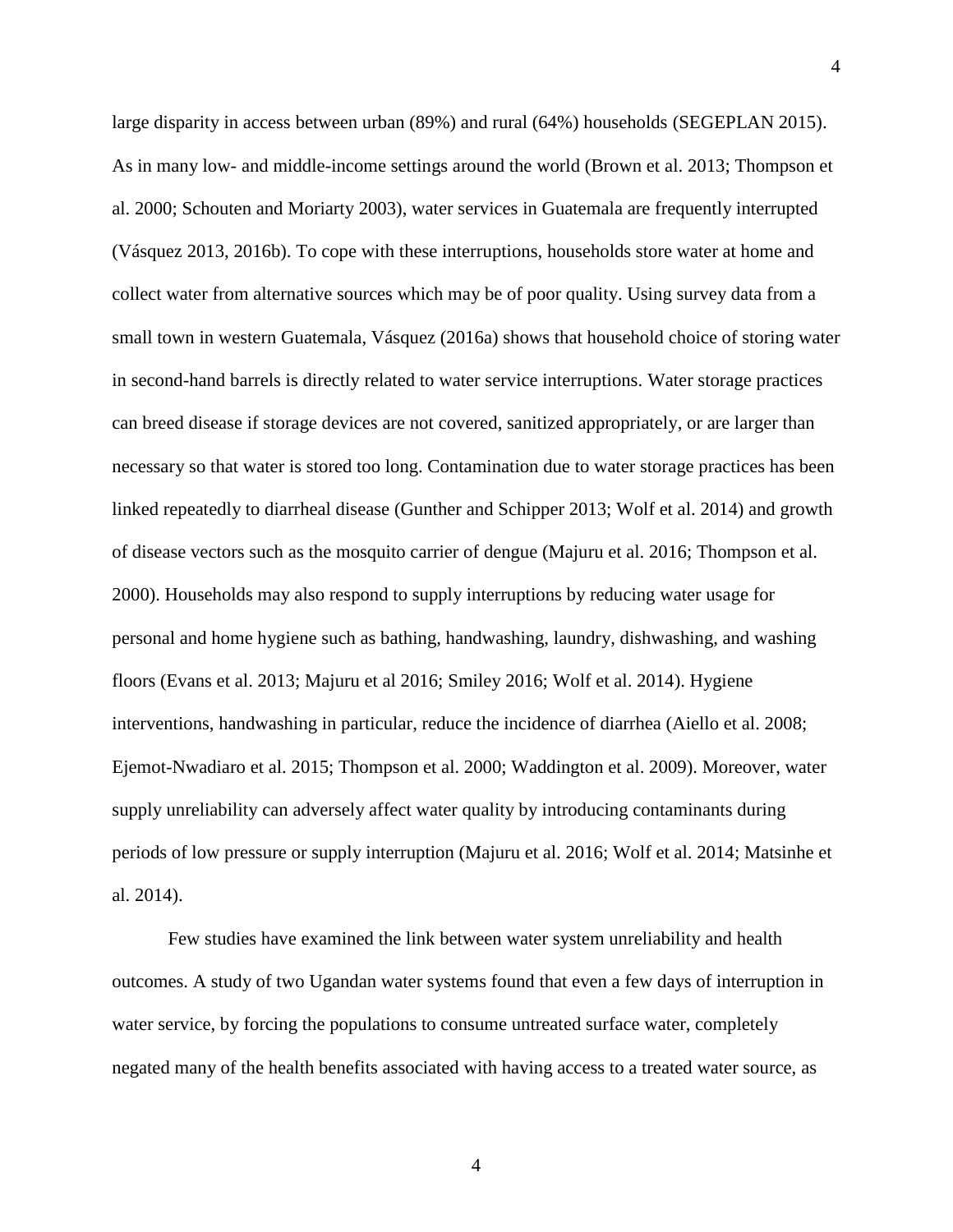large disparity in access between urban (89%) and rural (64%) households (SEGEPLAN 2015). As in many low- and middle-income settings around the world (Brown et al. 2013; Thompson et al. 2000; Schouten and Moriarty 2003), water services in Guatemala are frequently interrupted (Vásquez 2013, 2016b). To cope with these interruptions, households store water at home and collect water from alternative sources which may be of poor quality. Using survey data from a small town in western Guatemala, Vásquez (2016a) shows that household choice of storing water in second-hand barrels is directly related to water service interruptions. Water storage practices can breed disease if storage devices are not covered, sanitized appropriately, or are larger than necessary so that water is stored too long. Contamination due to water storage practices has been linked repeatedly to diarrheal disease (Gunther and Schipper 2013; Wolf et al. 2014) and growth of disease vectors such as the mosquito carrier of dengue (Majuru et al. 2016; Thompson et al. 2000). Households may also respond to supply interruptions by reducing water usage for personal and home hygiene such as bathing, handwashing, laundry, dishwashing, and washing floors (Evans et al. 2013; Majuru et al 2016; Smiley 2016; Wolf et al. 2014). Hygiene interventions, handwashing in particular, reduce the incidence of diarrhea (Aiello et al. 2008; Ejemot-Nwadiaro et al. 2015; Thompson et al. 2000; Waddington et al. 2009). Moreover, water supply unreliability can adversely affect water quality by introducing contaminants during periods of low pressure or supply interruption (Majuru et al. 2016; Wolf et al. 2014; Matsinhe et al. 2014).

Few studies have examined the link between water system unreliability and health outcomes. A study of two Ugandan water systems found that even a few days of interruption in water service, by forcing the populations to consume untreated surface water, completely negated many of the health benefits associated with having access to a treated water source, as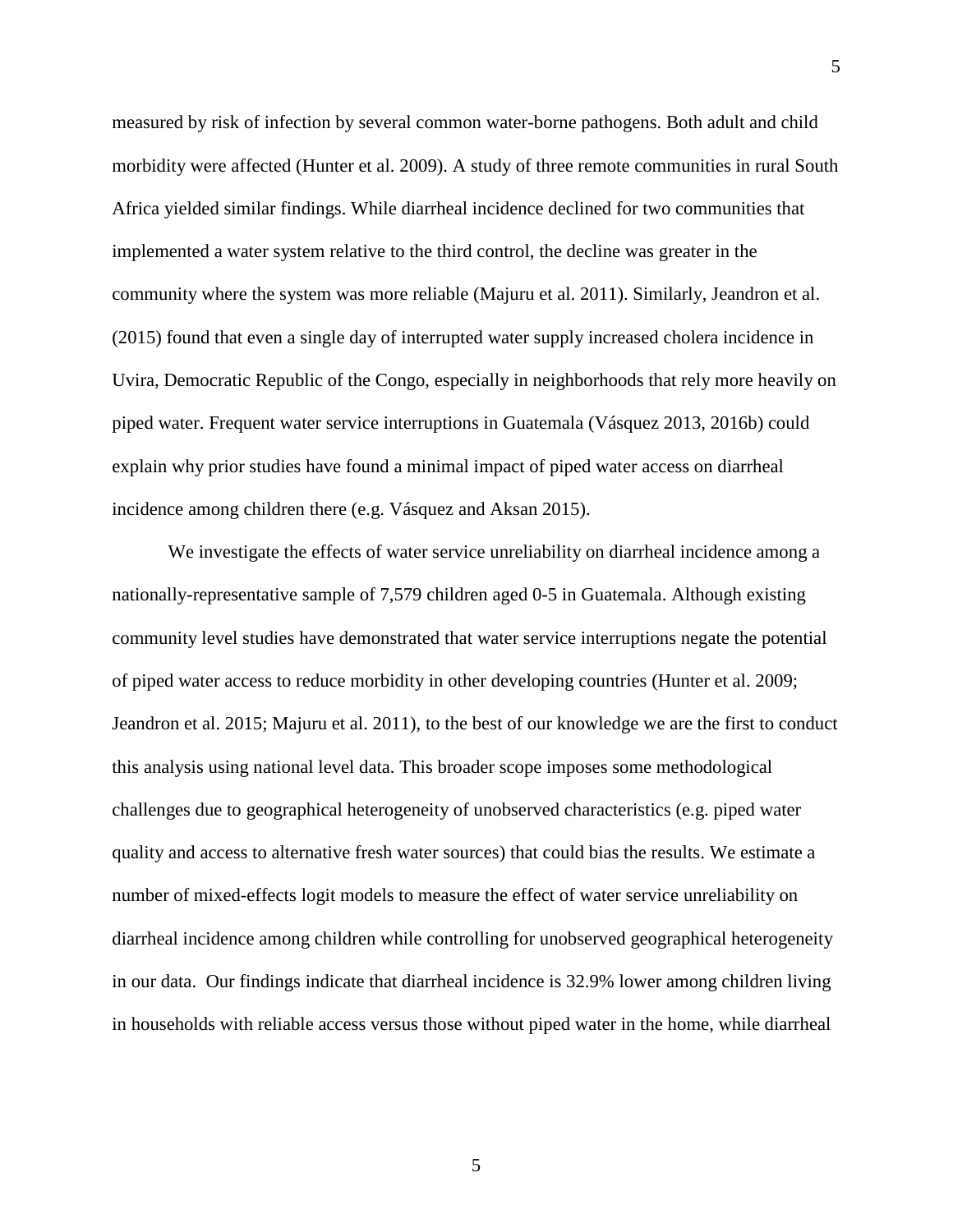measured by risk of infection by several common water-borne pathogens. Both adult and child morbidity were affected (Hunter et al. 2009). A study of three remote communities in rural South Africa yielded similar findings. While diarrheal incidence declined for two communities that implemented a water system relative to the third control, the decline was greater in the community where the system was more reliable (Majuru et al. 2011). Similarly, Jeandron et al. (2015) found that even a single day of interrupted water supply increased cholera incidence in Uvira, Democratic Republic of the Congo, especially in neighborhoods that rely more heavily on piped water. Frequent water service interruptions in Guatemala (Vásquez 2013, 2016b) could explain why prior studies have found a minimal impact of piped water access on diarrheal incidence among children there (e.g. Vásquez and Aksan 2015).

We investigate the effects of water service unreliability on diarrheal incidence among a nationally-representative sample of 7,579 children aged 0-5 in Guatemala. Although existing community level studies have demonstrated that water service interruptions negate the potential of piped water access to reduce morbidity in other developing countries (Hunter et al. 2009; Jeandron et al. 2015; Majuru et al. 2011), to the best of our knowledge we are the first to conduct this analysis using national level data. This broader scope imposes some methodological challenges due to geographical heterogeneity of unobserved characteristics (e.g. piped water quality and access to alternative fresh water sources) that could bias the results. We estimate a number of mixed-effects logit models to measure the effect of water service unreliability on diarrheal incidence among children while controlling for unobserved geographical heterogeneity in our data. Our findings indicate that diarrheal incidence is 32.9% lower among children living in households with reliable access versus those without piped water in the home, while diarrheal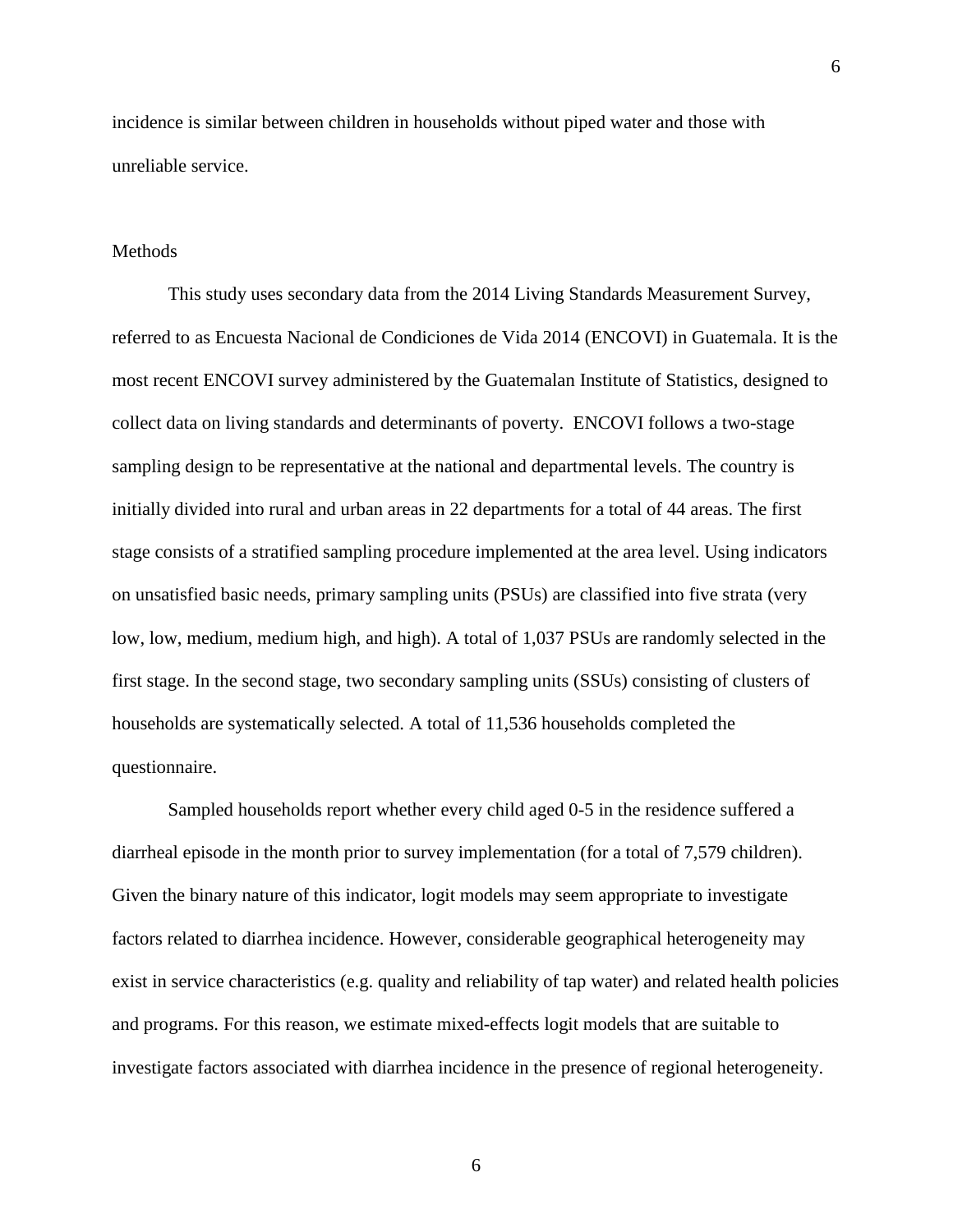incidence is similar between children in households without piped water and those with unreliable service.

6

#### Methods

This study uses secondary data from the 2014 Living Standards Measurement Survey, referred to as Encuesta Nacional de Condiciones de Vida 2014 (ENCOVI) in Guatemala. It is the most recent ENCOVI survey administered by the Guatemalan Institute of Statistics, designed to collect data on living standards and determinants of poverty. ENCOVI follows a two-stage sampling design to be representative at the national and departmental levels. The country is initially divided into rural and urban areas in 22 departments for a total of 44 areas. The first stage consists of a stratified sampling procedure implemented at the area level. Using indicators on unsatisfied basic needs, primary sampling units (PSUs) are classified into five strata (very low, low, medium, medium high, and high). A total of 1,037 PSUs are randomly selected in the first stage. In the second stage, two secondary sampling units (SSUs) consisting of clusters of households are systematically selected. A total of 11,536 households completed the questionnaire.

Sampled households report whether every child aged 0-5 in the residence suffered a diarrheal episode in the month prior to survey implementation (for a total of 7,579 children). Given the binary nature of this indicator, logit models may seem appropriate to investigate factors related to diarrhea incidence. However, considerable geographical heterogeneity may exist in service characteristics (e.g. quality and reliability of tap water) and related health policies and programs. For this reason, we estimate mixed-effects logit models that are suitable to investigate factors associated with diarrhea incidence in the presence of regional heterogeneity.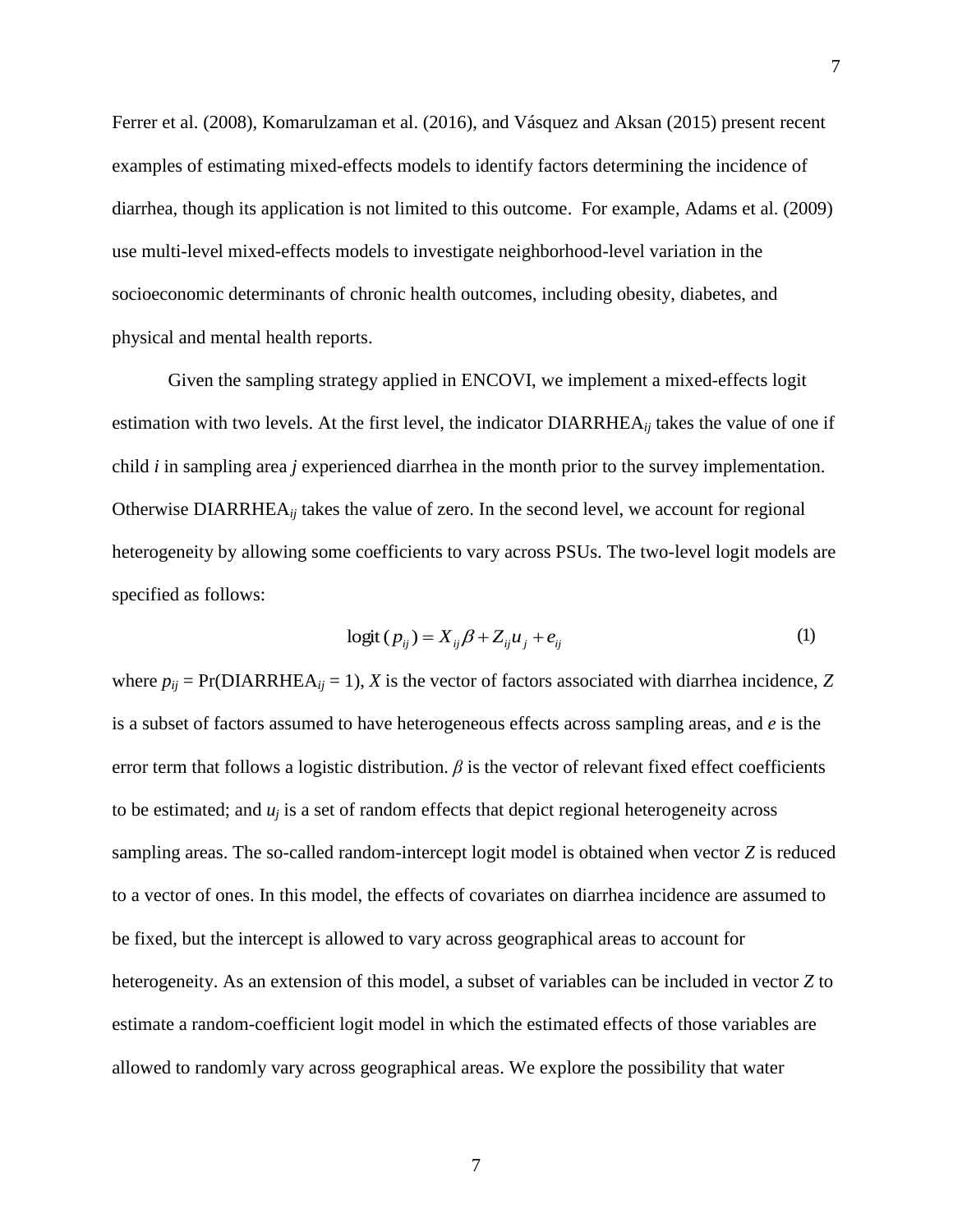Ferrer et al. (2008), Komarulzaman et al. (2016), and Vásquez and Aksan (2015) present recent examples of estimating mixed-effects models to identify factors determining the incidence of diarrhea, though its application is not limited to this outcome. For example, Adams et al. (2009) use multi-level mixed-effects models to investigate neighborhood-level variation in the socioeconomic determinants of chronic health outcomes, including obesity, diabetes, and physical and mental health reports.

Given the sampling strategy applied in ENCOVI, we implement a mixed-effects logit estimation with two levels. At the first level, the indicator DIARRHEA*ij* takes the value of one if child *i* in sampling area *j* experienced diarrhea in the month prior to the survey implementation. Otherwise DIARRHEA*ij* takes the value of zero. In the second level, we account for regional heterogeneity by allowing some coefficients to vary across PSUs. The two-level logit models are specified as follows:

$$
logit (p_{ij}) = X_{ij}\beta + Z_{ij}u_j + e_{ij}
$$
 (1)

where  $p_{ij}$  = Pr(DIARRHEA<sub>ij</sub> = 1), *X* is the vector of factors associated with diarrhea incidence, *Z* is a subset of factors assumed to have heterogeneous effects across sampling areas, and *e* is the error term that follows a logistic distribution.  $\beta$  is the vector of relevant fixed effect coefficients to be estimated; and  $u_i$  is a set of random effects that depict regional heterogeneity across sampling areas. The so-called random-intercept logit model is obtained when vector *Z* is reduced to a vector of ones. In this model, the effects of covariates on diarrhea incidence are assumed to be fixed, but the intercept is allowed to vary across geographical areas to account for heterogeneity. As an extension of this model, a subset of variables can be included in vector *Z* to estimate a random-coefficient logit model in which the estimated effects of those variables are allowed to randomly vary across geographical areas. We explore the possibility that water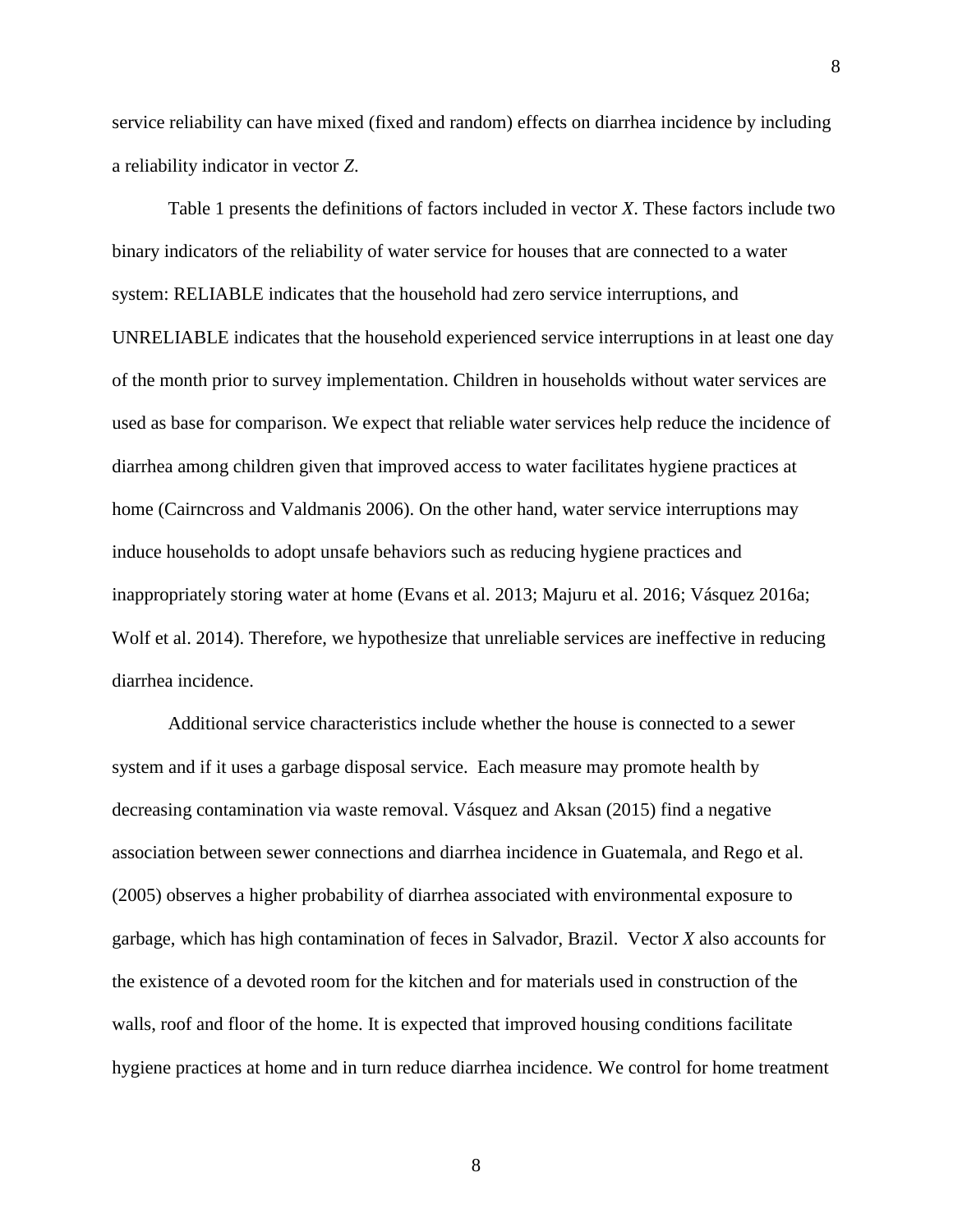service reliability can have mixed (fixed and random) effects on diarrhea incidence by including a reliability indicator in vector *Z*.

Table 1 presents the definitions of factors included in vector *X*. These factors include two binary indicators of the reliability of water service for houses that are connected to a water system: RELIABLE indicates that the household had zero service interruptions, and UNRELIABLE indicates that the household experienced service interruptions in at least one day of the month prior to survey implementation. Children in households without water services are used as base for comparison. We expect that reliable water services help reduce the incidence of diarrhea among children given that improved access to water facilitates hygiene practices at home (Cairncross and Valdmanis 2006). On the other hand, water service interruptions may induce households to adopt unsafe behaviors such as reducing hygiene practices and inappropriately storing water at home (Evans et al. 2013; Majuru et al. 2016; Vásquez 2016a; Wolf et al. 2014). Therefore, we hypothesize that unreliable services are ineffective in reducing diarrhea incidence.

Additional service characteristics include whether the house is connected to a sewer system and if it uses a garbage disposal service. Each measure may promote health by decreasing contamination via waste removal. Vásquez and Aksan (2015) find a negative association between sewer connections and diarrhea incidence in Guatemala, and Rego et al. (2005) observes a higher probability of diarrhea associated with environmental exposure to garbage, which has high contamination of feces in Salvador, Brazil. Vector *X* also accounts for the existence of a devoted room for the kitchen and for materials used in construction of the walls, roof and floor of the home. It is expected that improved housing conditions facilitate hygiene practices at home and in turn reduce diarrhea incidence. We control for home treatment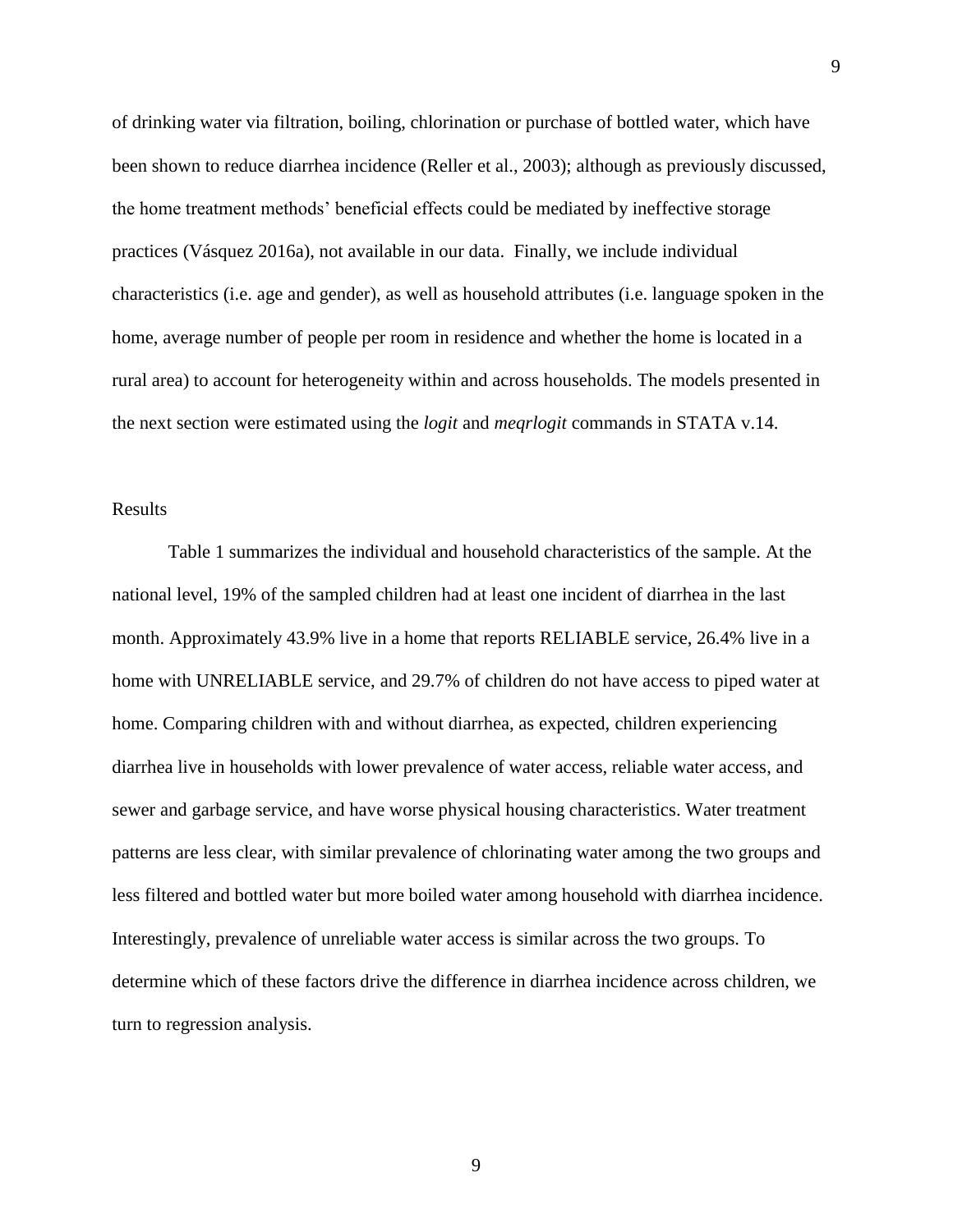of drinking water via filtration, boiling, chlorination or purchase of bottled water, which have been shown to reduce diarrhea incidence (Reller et al., 2003); although as previously discussed, the home treatment methods' beneficial effects could be mediated by ineffective storage practices (Vásquez 2016a), not available in our data. Finally, we include individual characteristics (i.e. age and gender), as well as household attributes (i.e. language spoken in the home, average number of people per room in residence and whether the home is located in a rural area) to account for heterogeneity within and across households. The models presented in the next section were estimated using the *logit* and *meqrlogit* commands in STATA v.14.

## Results

Table 1 summarizes the individual and household characteristics of the sample. At the national level, 19% of the sampled children had at least one incident of diarrhea in the last month. Approximately 43.9% live in a home that reports RELIABLE service, 26.4% live in a home with UNRELIABLE service, and 29.7% of children do not have access to piped water at home. Comparing children with and without diarrhea, as expected, children experiencing diarrhea live in households with lower prevalence of water access, reliable water access, and sewer and garbage service, and have worse physical housing characteristics. Water treatment patterns are less clear, with similar prevalence of chlorinating water among the two groups and less filtered and bottled water but more boiled water among household with diarrhea incidence. Interestingly, prevalence of unreliable water access is similar across the two groups. To determine which of these factors drive the difference in diarrhea incidence across children, we turn to regression analysis.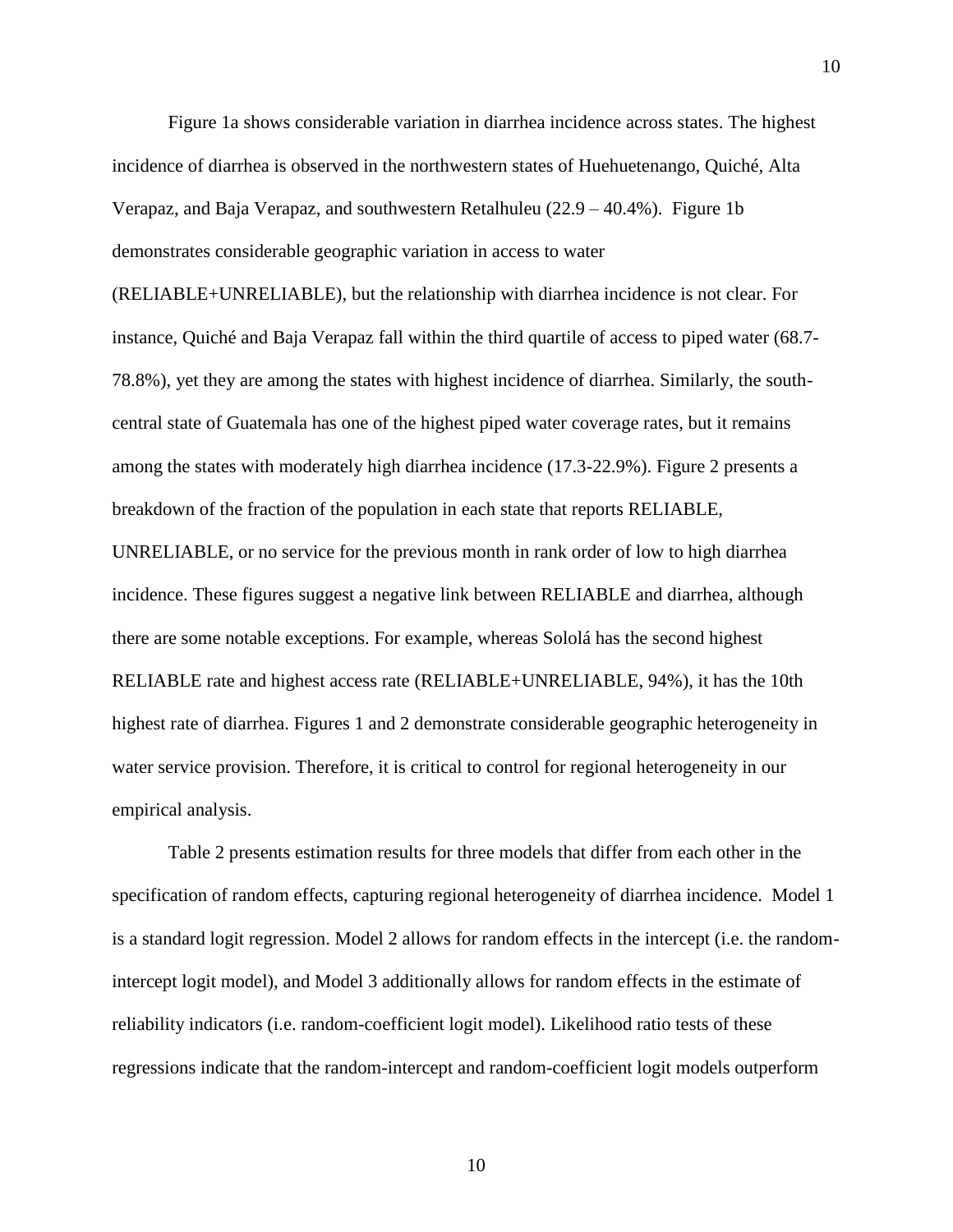Figure 1a shows considerable variation in diarrhea incidence across states. The highest incidence of diarrhea is observed in the northwestern states of Huehuetenango, Quiché, Alta Verapaz, and Baja Verapaz, and southwestern Retalhuleu (22.9 – 40.4%). Figure 1b demonstrates considerable geographic variation in access to water

10

(RELIABLE+UNRELIABLE), but the relationship with diarrhea incidence is not clear. For instance, Quiché and Baja Verapaz fall within the third quartile of access to piped water (68.7- 78.8%), yet they are among the states with highest incidence of diarrhea. Similarly, the southcentral state of Guatemala has one of the highest piped water coverage rates, but it remains among the states with moderately high diarrhea incidence (17.3-22.9%). Figure 2 presents a breakdown of the fraction of the population in each state that reports RELIABLE,

UNRELIABLE, or no service for the previous month in rank order of low to high diarrhea incidence. These figures suggest a negative link between RELIABLE and diarrhea, although there are some notable exceptions. For example, whereas Sololá has the second highest RELIABLE rate and highest access rate (RELIABLE+UNRELIABLE, 94%), it has the 10th highest rate of diarrhea. Figures 1 and 2 demonstrate considerable geographic heterogeneity in water service provision. Therefore, it is critical to control for regional heterogeneity in our empirical analysis.

Table 2 presents estimation results for three models that differ from each other in the specification of random effects, capturing regional heterogeneity of diarrhea incidence. Model 1 is a standard logit regression. Model 2 allows for random effects in the intercept (i.e. the randomintercept logit model), and Model 3 additionally allows for random effects in the estimate of reliability indicators (i.e. random-coefficient logit model). Likelihood ratio tests of these regressions indicate that the random-intercept and random-coefficient logit models outperform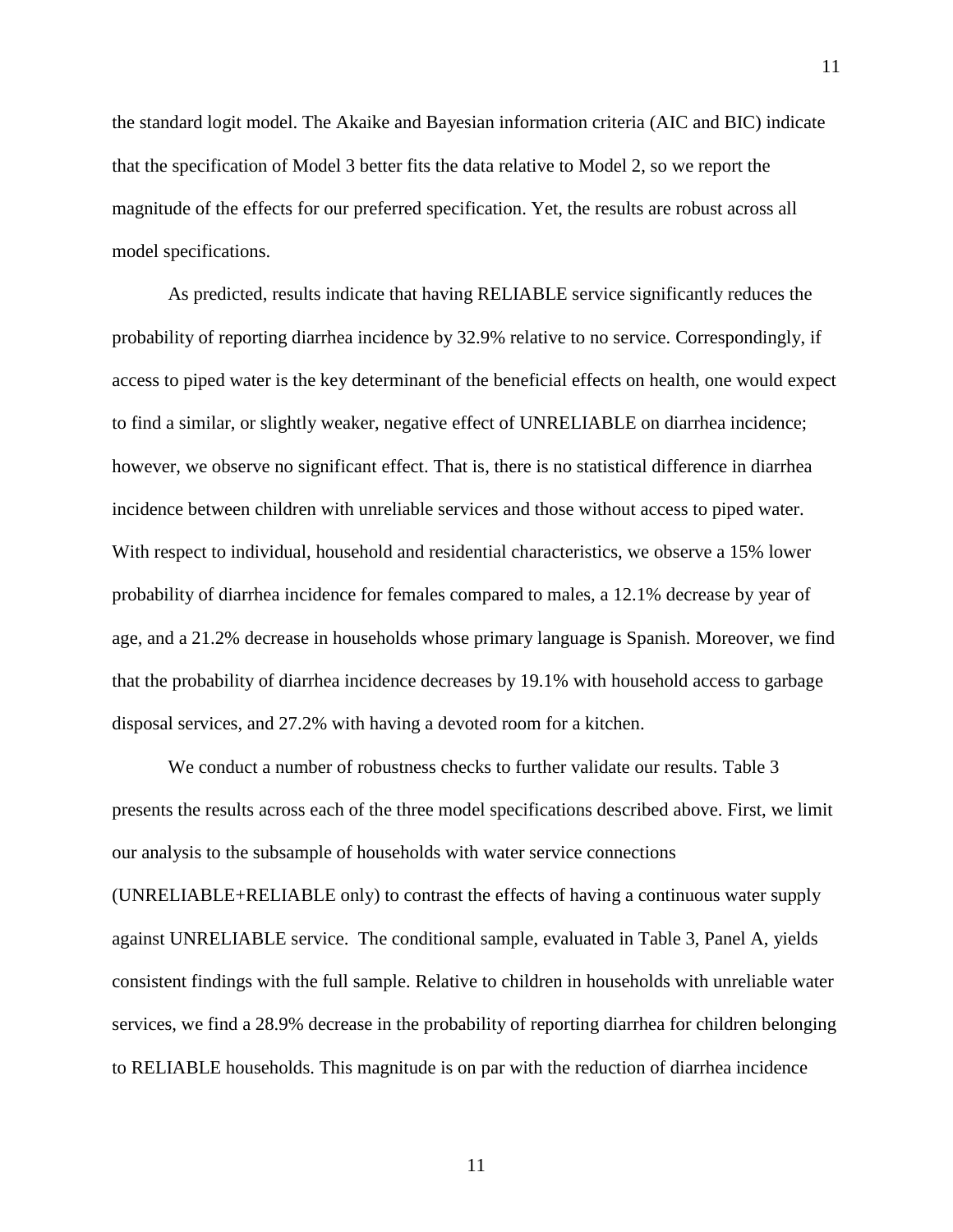the standard logit model. The Akaike and Bayesian information criteria (AIC and BIC) indicate that the specification of Model 3 better fits the data relative to Model 2, so we report the magnitude of the effects for our preferred specification. Yet, the results are robust across all model specifications.

As predicted, results indicate that having RELIABLE service significantly reduces the probability of reporting diarrhea incidence by 32.9% relative to no service. Correspondingly, if access to piped water is the key determinant of the beneficial effects on health, one would expect to find a similar, or slightly weaker, negative effect of UNRELIABLE on diarrhea incidence; however, we observe no significant effect. That is, there is no statistical difference in diarrhea incidence between children with unreliable services and those without access to piped water. With respect to individual, household and residential characteristics, we observe a 15% lower probability of diarrhea incidence for females compared to males, a 12.1% decrease by year of age, and a 21.2% decrease in households whose primary language is Spanish. Moreover, we find that the probability of diarrhea incidence decreases by 19.1% with household access to garbage disposal services, and 27.2% with having a devoted room for a kitchen.

We conduct a number of robustness checks to further validate our results. Table 3 presents the results across each of the three model specifications described above. First, we limit our analysis to the subsample of households with water service connections (UNRELIABLE+RELIABLE only) to contrast the effects of having a continuous water supply against UNRELIABLE service. The conditional sample, evaluated in Table 3, Panel A, yields consistent findings with the full sample. Relative to children in households with unreliable water services, we find a 28.9% decrease in the probability of reporting diarrhea for children belonging to RELIABLE households. This magnitude is on par with the reduction of diarrhea incidence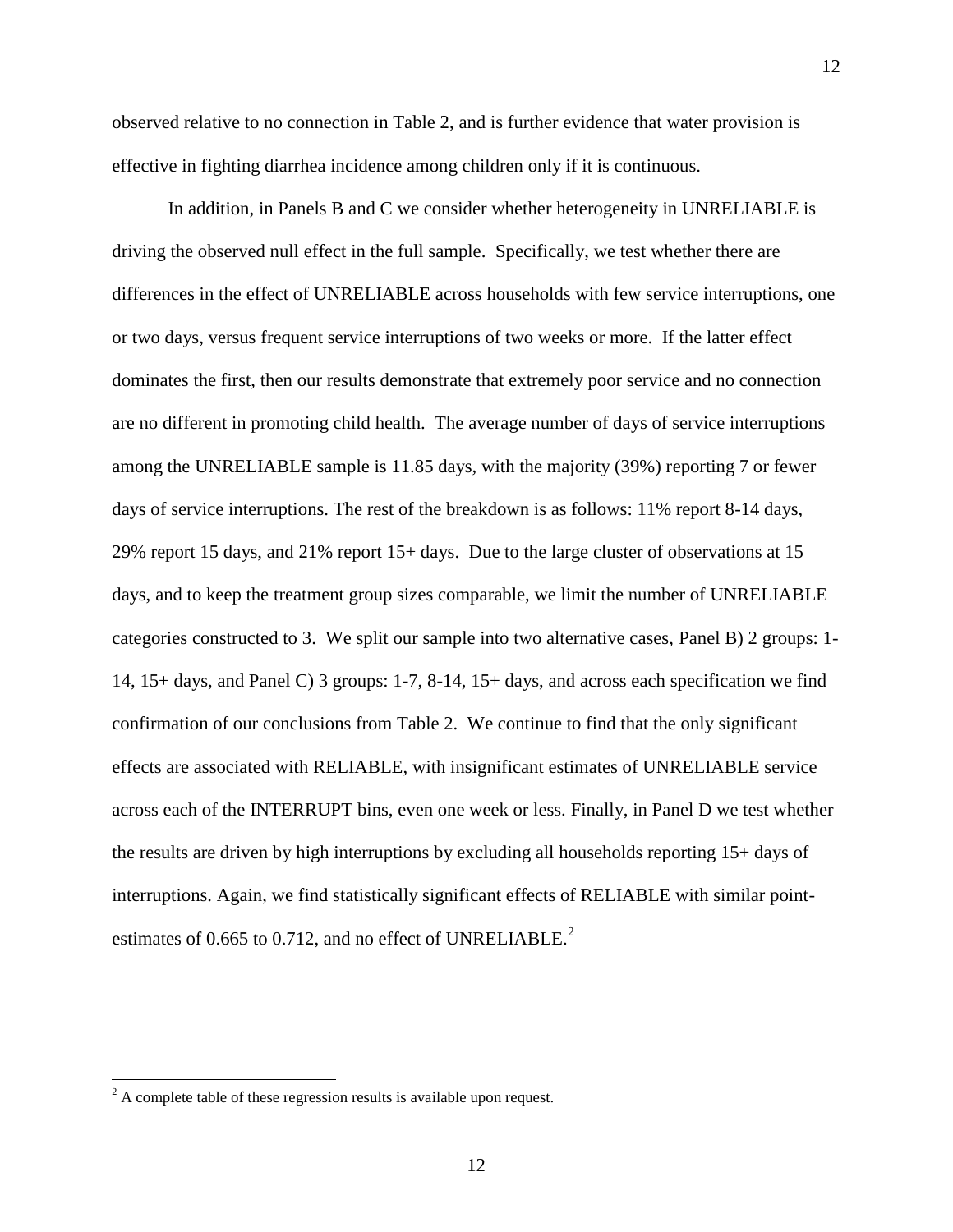observed relative to no connection in Table 2, and is further evidence that water provision is effective in fighting diarrhea incidence among children only if it is continuous.

12

In addition, in Panels B and C we consider whether heterogeneity in UNRELIABLE is driving the observed null effect in the full sample. Specifically, we test whether there are differences in the effect of UNRELIABLE across households with few service interruptions, one or two days, versus frequent service interruptions of two weeks or more. If the latter effect dominates the first, then our results demonstrate that extremely poor service and no connection are no different in promoting child health. The average number of days of service interruptions among the UNRELIABLE sample is 11.85 days, with the majority (39%) reporting 7 or fewer days of service interruptions. The rest of the breakdown is as follows: 11% report 8-14 days, 29% report 15 days, and 21% report 15+ days. Due to the large cluster of observations at 15 days, and to keep the treatment group sizes comparable, we limit the number of UNRELIABLE categories constructed to 3. We split our sample into two alternative cases, Panel B) 2 groups: 1- 14, 15+ days, and Panel C) 3 groups: 1-7, 8-14, 15+ days, and across each specification we find confirmation of our conclusions from Table 2. We continue to find that the only significant effects are associated with RELIABLE, with insignificant estimates of UNRELIABLE service across each of the INTERRUPT bins, even one week or less. Finally, in Panel D we test whether the results are driven by high interruptions by excluding all households reporting 15+ days of interruptions. Again, we find statistically significant effects of RELIABLE with similar pointestimates of 0.665 to 0.712, and no effect of UNRELIABLE.<sup>2</sup>

 $\overline{\phantom{a}}$ 

 $2^2$  A complete table of these regression results is available upon request.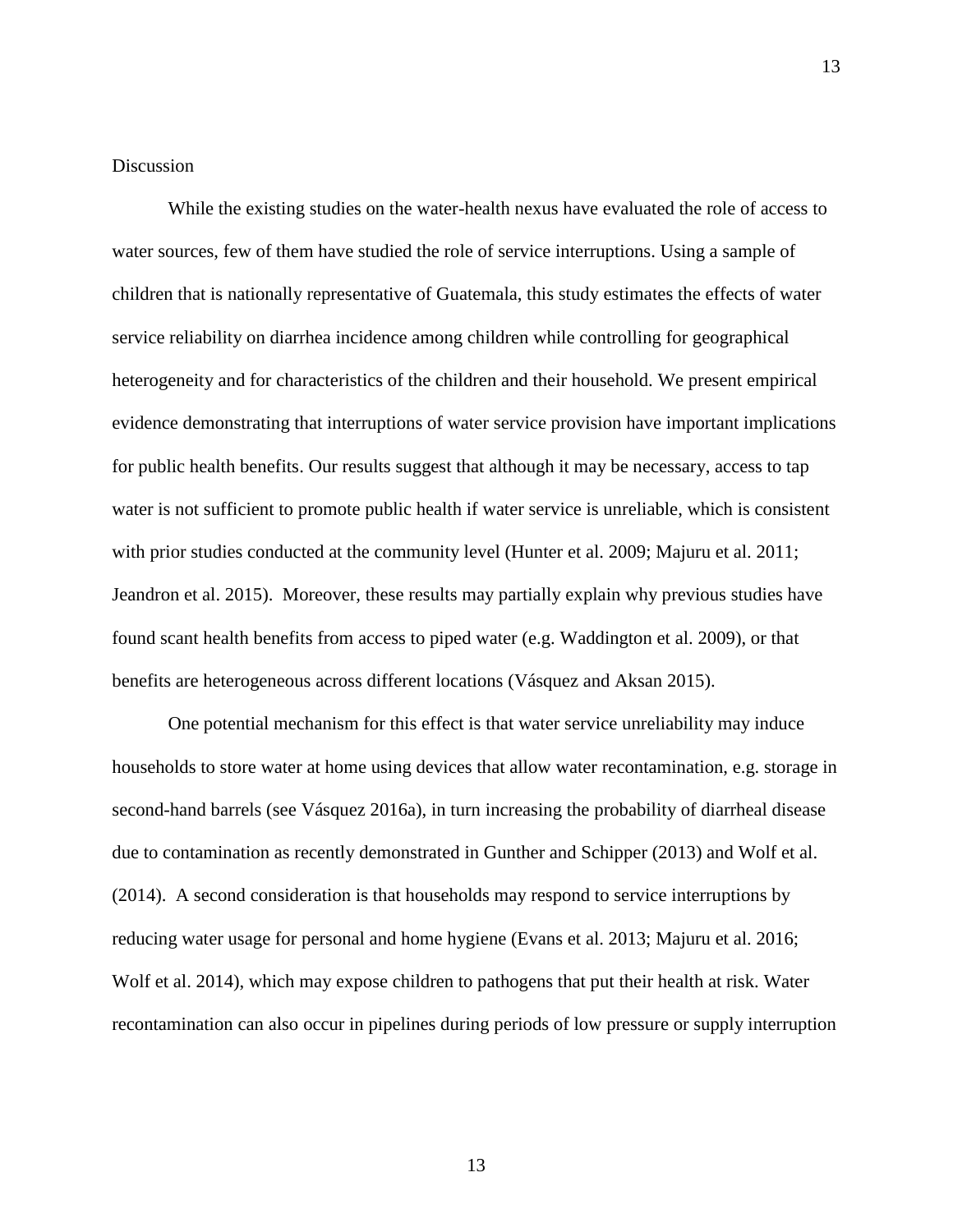#### **Discussion**

While the existing studies on the water-health nexus have evaluated the role of access to water sources, few of them have studied the role of service interruptions. Using a sample of children that is nationally representative of Guatemala, this study estimates the effects of water service reliability on diarrhea incidence among children while controlling for geographical heterogeneity and for characteristics of the children and their household. We present empirical evidence demonstrating that interruptions of water service provision have important implications for public health benefits. Our results suggest that although it may be necessary, access to tap water is not sufficient to promote public health if water service is unreliable, which is consistent with prior studies conducted at the community level (Hunter et al. 2009; Majuru et al. 2011; Jeandron et al. 2015). Moreover, these results may partially explain why previous studies have found scant health benefits from access to piped water (e.g. Waddington et al. 2009), or that benefits are heterogeneous across different locations (Vásquez and Aksan 2015).

One potential mechanism for this effect is that water service unreliability may induce households to store water at home using devices that allow water recontamination, e.g. storage in second-hand barrels (see Vásquez 2016a), in turn increasing the probability of diarrheal disease due to contamination as recently demonstrated in Gunther and Schipper (2013) and Wolf et al. (2014). A second consideration is that households may respond to service interruptions by reducing water usage for personal and home hygiene (Evans et al. 2013; Majuru et al. 2016; Wolf et al. 2014), which may expose children to pathogens that put their health at risk. Water recontamination can also occur in pipelines during periods of low pressure or supply interruption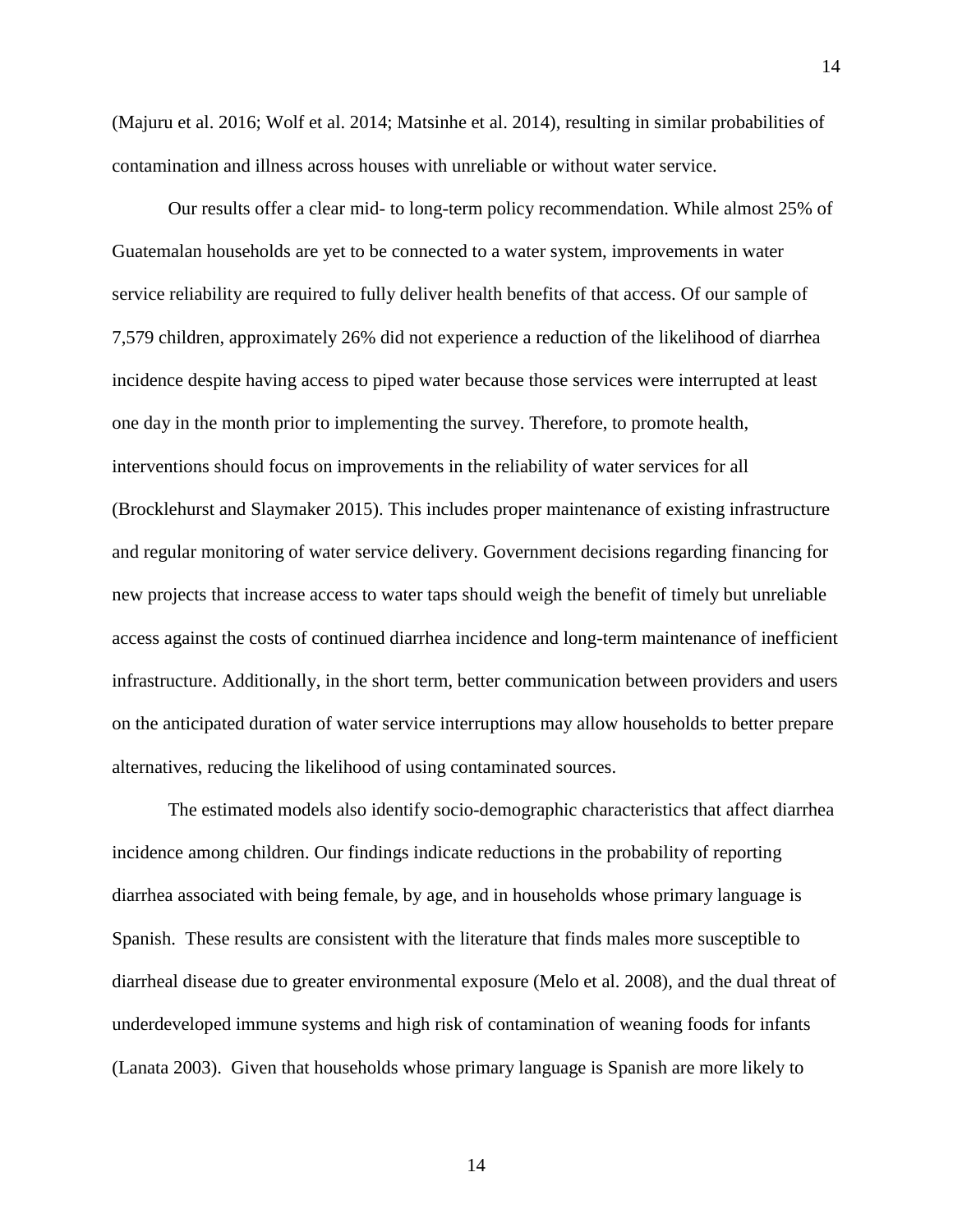(Majuru et al. 2016; Wolf et al. 2014; Matsinhe et al. 2014), resulting in similar probabilities of contamination and illness across houses with unreliable or without water service.

Our results offer a clear mid- to long-term policy recommendation. While almost 25% of Guatemalan households are yet to be connected to a water system, improvements in water service reliability are required to fully deliver health benefits of that access. Of our sample of 7,579 children, approximately 26% did not experience a reduction of the likelihood of diarrhea incidence despite having access to piped water because those services were interrupted at least one day in the month prior to implementing the survey. Therefore, to promote health, interventions should focus on improvements in the reliability of water services for all (Brocklehurst and Slaymaker 2015). This includes proper maintenance of existing infrastructure and regular monitoring of water service delivery. Government decisions regarding financing for new projects that increase access to water taps should weigh the benefit of timely but unreliable access against the costs of continued diarrhea incidence and long-term maintenance of inefficient infrastructure. Additionally, in the short term, better communication between providers and users on the anticipated duration of water service interruptions may allow households to better prepare alternatives, reducing the likelihood of using contaminated sources.

The estimated models also identify socio-demographic characteristics that affect diarrhea incidence among children. Our findings indicate reductions in the probability of reporting diarrhea associated with being female, by age, and in households whose primary language is Spanish. These results are consistent with the literature that finds males more susceptible to diarrheal disease due to greater environmental exposure (Melo et al. 2008), and the dual threat of underdeveloped immune systems and high risk of contamination of weaning foods for infants (Lanata 2003). Given that households whose primary language is Spanish are more likely to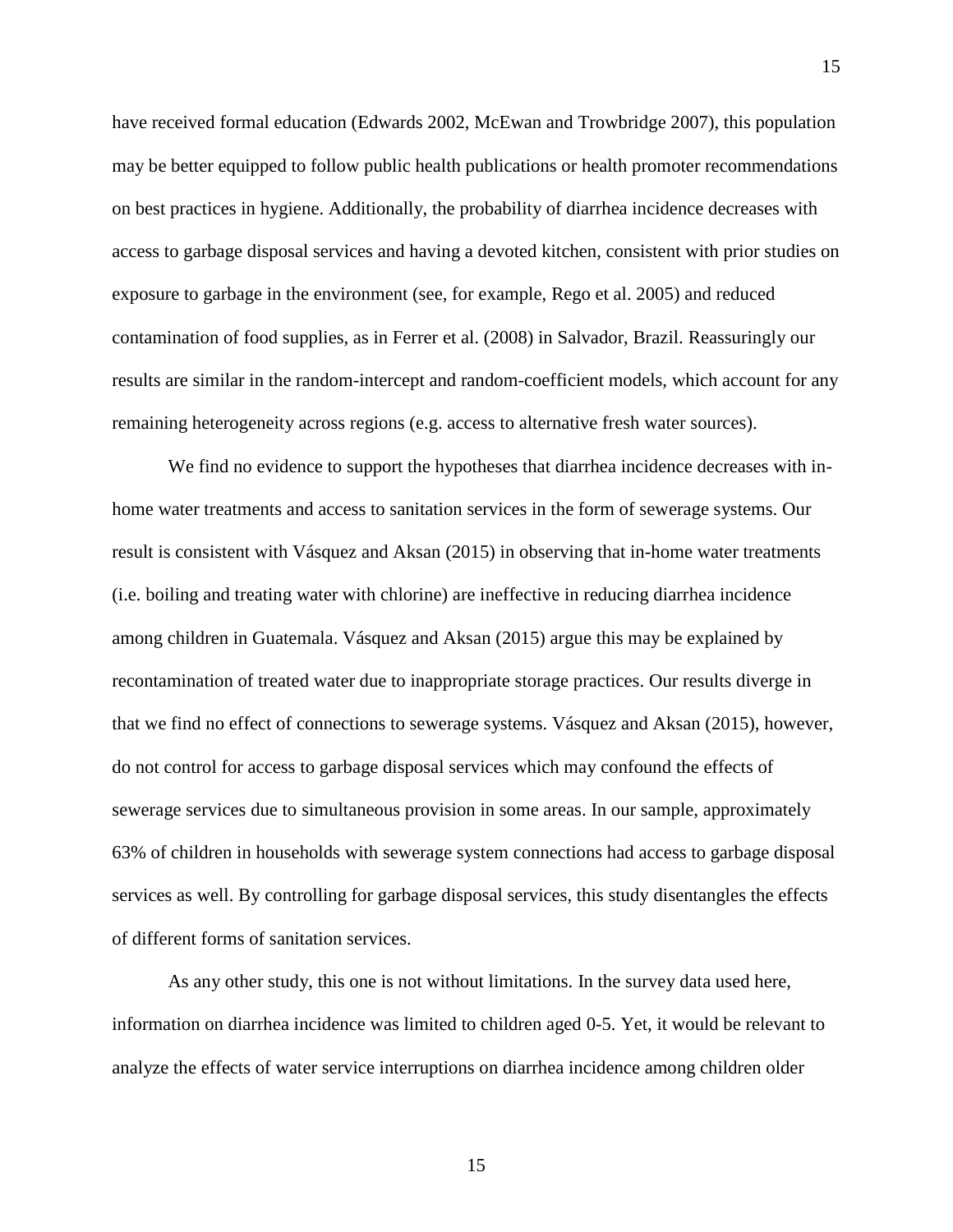have received formal education (Edwards 2002, McEwan and Trowbridge 2007), this population may be better equipped to follow public health publications or health promoter recommendations on best practices in hygiene. Additionally, the probability of diarrhea incidence decreases with access to garbage disposal services and having a devoted kitchen, consistent with prior studies on exposure to garbage in the environment (see, for example, Rego et al. 2005) and reduced contamination of food supplies, as in Ferrer et al. (2008) in Salvador, Brazil. Reassuringly our results are similar in the random-intercept and random-coefficient models, which account for any remaining heterogeneity across regions (e.g. access to alternative fresh water sources).

We find no evidence to support the hypotheses that diarrhea incidence decreases with inhome water treatments and access to sanitation services in the form of sewerage systems. Our result is consistent with Vásquez and Aksan (2015) in observing that in-home water treatments (i.e. boiling and treating water with chlorine) are ineffective in reducing diarrhea incidence among children in Guatemala. Vásquez and Aksan (2015) argue this may be explained by recontamination of treated water due to inappropriate storage practices. Our results diverge in that we find no effect of connections to sewerage systems. Vásquez and Aksan (2015), however, do not control for access to garbage disposal services which may confound the effects of sewerage services due to simultaneous provision in some areas. In our sample, approximately 63% of children in households with sewerage system connections had access to garbage disposal services as well. By controlling for garbage disposal services, this study disentangles the effects of different forms of sanitation services.

As any other study, this one is not without limitations. In the survey data used here, information on diarrhea incidence was limited to children aged 0-5. Yet, it would be relevant to analyze the effects of water service interruptions on diarrhea incidence among children older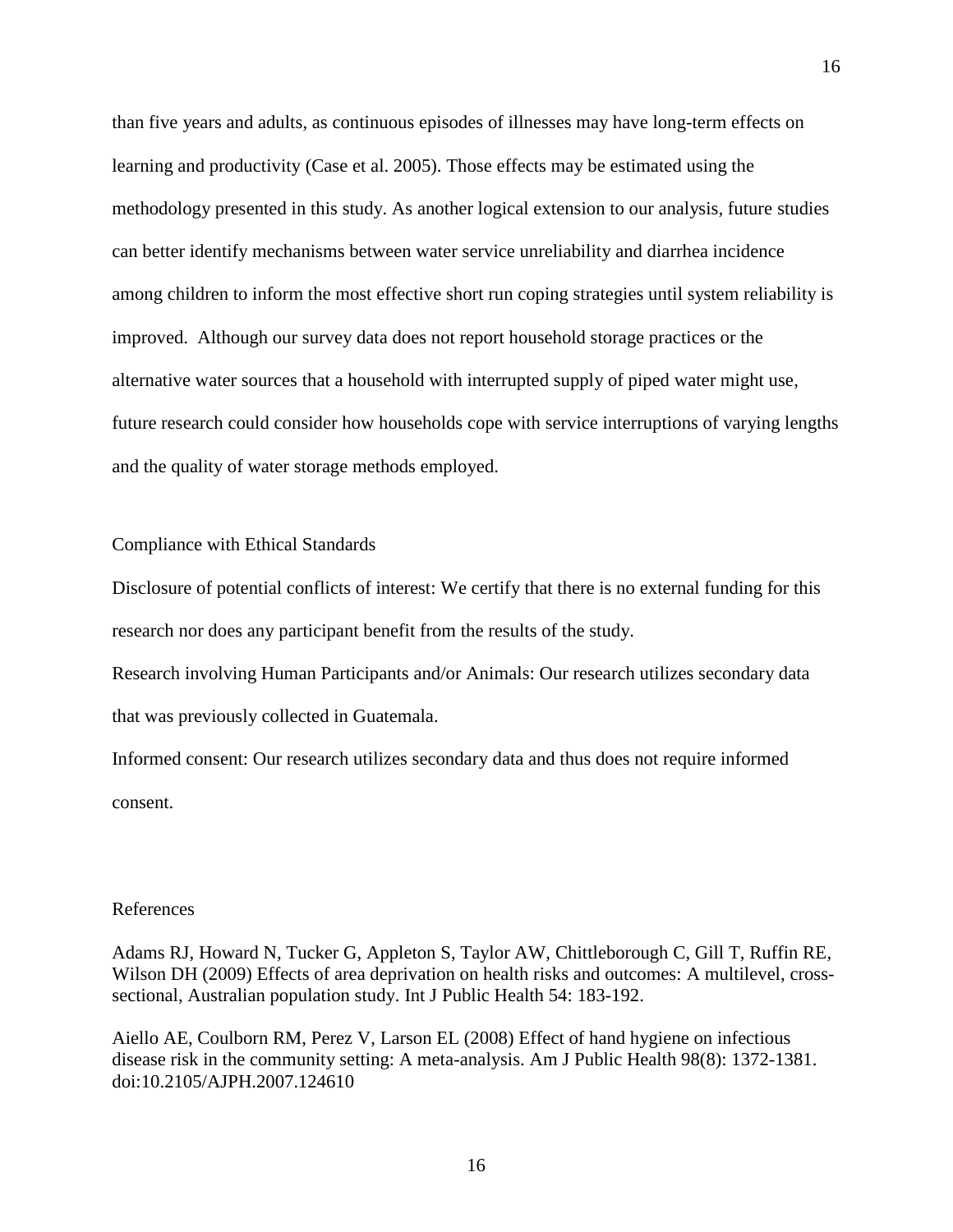than five years and adults, as continuous episodes of illnesses may have long-term effects on learning and productivity (Case et al. 2005). Those effects may be estimated using the methodology presented in this study. As another logical extension to our analysis, future studies can better identify mechanisms between water service unreliability and diarrhea incidence among children to inform the most effective short run coping strategies until system reliability is improved. Although our survey data does not report household storage practices or the alternative water sources that a household with interrupted supply of piped water might use, future research could consider how households cope with service interruptions of varying lengths and the quality of water storage methods employed.

## Compliance with Ethical Standards

Disclosure of potential conflicts of interest: We certify that there is no external funding for this research nor does any participant benefit from the results of the study.

Research involving Human Participants and/or Animals: Our research utilizes secondary data that was previously collected in Guatemala.

Informed consent: Our research utilizes secondary data and thus does not require informed consent.

#### References

Adams RJ, Howard N, Tucker G, Appleton S, Taylor AW, Chittleborough C, Gill T, Ruffin RE, Wilson DH (2009) Effects of area deprivation on health risks and outcomes: A multilevel, crosssectional, Australian population study. Int J Public Health 54: 183-192.

Aiello AE, Coulborn RM, Perez V, Larson EL (2008) Effect of hand hygiene on infectious disease risk in the community setting: A meta-analysis. Am J Public Health 98(8): 1372-1381. doi:10.2105/AJPH.2007.124610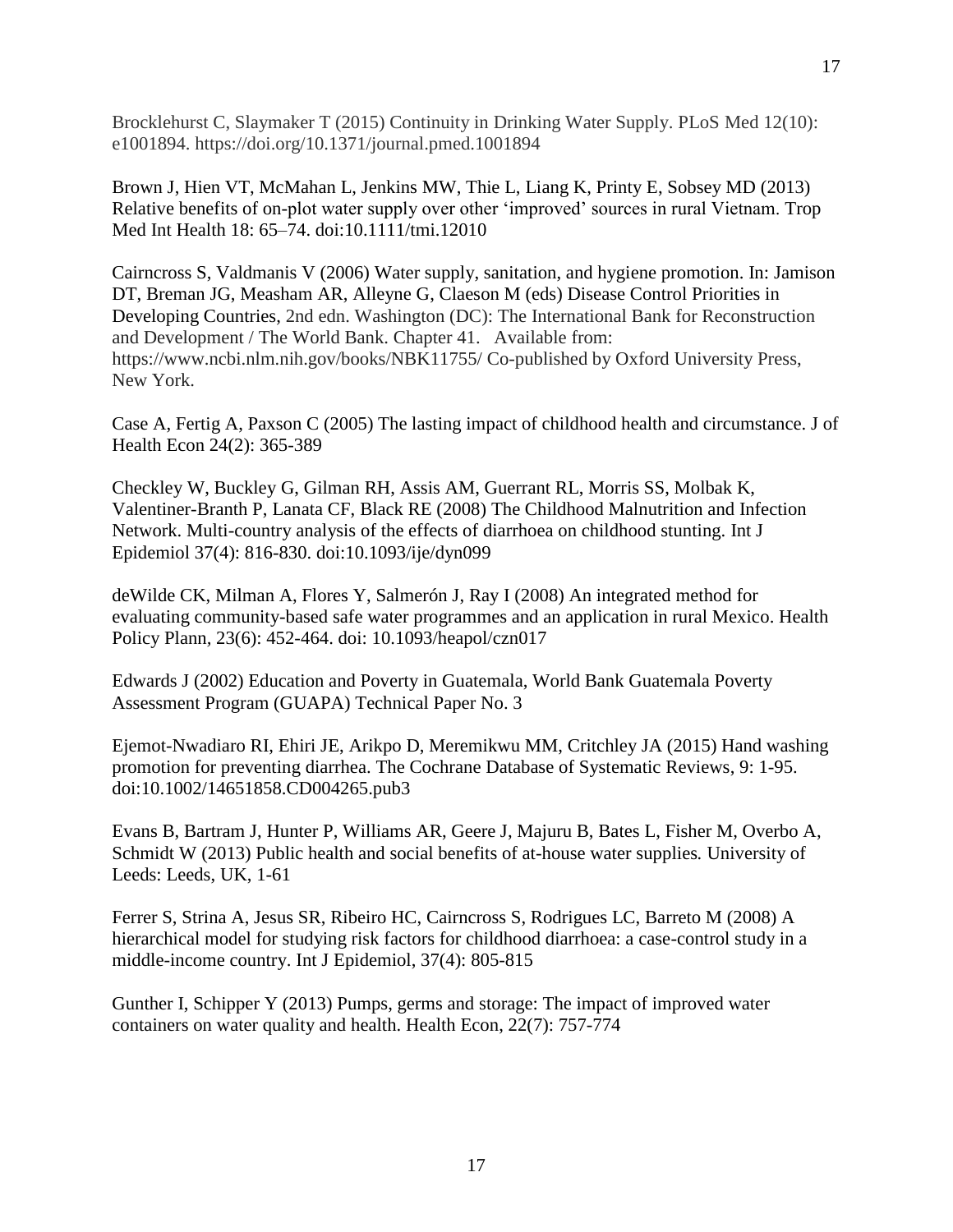Brocklehurst C, Slaymaker T (2015) Continuity in Drinking Water Supply. PLoS Med 12(10): e1001894. https://doi.org/10.1371/journal.pmed.1001894

17

Brown J, Hien VT, McMahan L, Jenkins MW, Thie L, Liang K, Printy E, Sobsey MD (2013) Relative benefits of on-plot water supply over other 'improved' sources in rural Vietnam. Trop Med Int Health 18: 65–74. doi:10.1111/tmi.12010

Cairncross S, Valdmanis V (2006) Water supply, sanitation, and hygiene promotion. In: Jamison DT, Breman JG, Measham AR, Alleyne G, Claeson M (eds) Disease Control Priorities in Developing Countries, 2nd edn. Washington (DC): The International Bank for Reconstruction and Development / The World Bank. Chapter 41. Available from: https://www.ncbi.nlm.nih.gov/books/NBK11755/ Co-published by Oxford University Press, New York.

Case A, Fertig A, Paxson C (2005) The lasting impact of childhood health and circumstance. J of Health Econ 24(2): 365-389

Checkley W, Buckley G, Gilman RH, Assis AM, Guerrant RL, Morris SS, Molbak K, Valentiner-Branth P, Lanata CF, Black RE (2008) The Childhood Malnutrition and Infection Network. Multi-country analysis of the effects of diarrhoea on childhood stunting. Int J Epidemiol 37(4): 816-830. doi:10.1093/ije/dyn099

deWilde CK, Milman A, Flores Y, Salmerón J, Ray I (2008) An integrated method for evaluating community-based safe water programmes and an application in rural Mexico. Health Policy Plann*,* 23(6): 452-464. doi: 10.1093/heapol/czn017

Edwards J (2002) Education and Poverty in Guatemala, World Bank Guatemala Poverty Assessment Program (GUAPA) Technical Paper No. 3

Ejemot-Nwadiaro RI, Ehiri JE, Arikpo D, Meremikwu MM, Critchley JA (2015) Hand washing promotion for preventing diarrhea. The Cochrane Database of Systematic Reviews, 9: 1-95. doi:10.1002/14651858.CD004265.pub3

Evans B, Bartram J, Hunter P, Williams AR, Geere J, Majuru B, Bates L, Fisher M, Overbo A, Schmidt W (2013) Public health and social benefits of at-house water supplies*.* University of Leeds: Leeds, UK, 1-61

Ferrer S, Strina A, Jesus SR, Ribeiro HC, Cairncross S, Rodrigues LC, Barreto M (2008) A hierarchical model for studying risk factors for childhood diarrhoea: a case-control study in a middle-income country. Int J Epidemiol, 37(4): 805-815

Gunther I, Schipper Y (2013) Pumps, germs and storage: The impact of improved water containers on water quality and health. Health Econ, 22(7): 757-774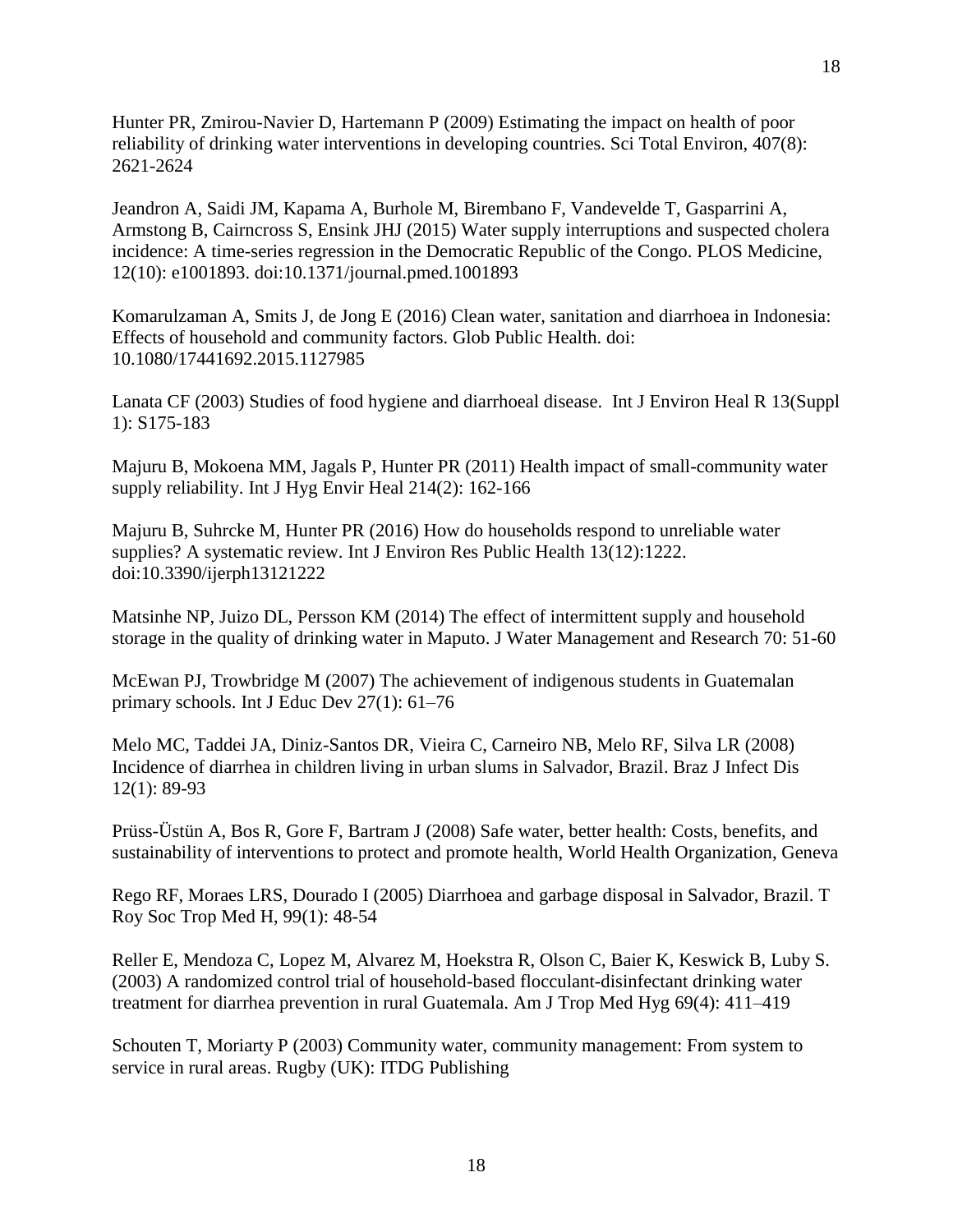Hunter PR, Zmirou-Navier D, Hartemann P (2009) Estimating the impact on health of poor reliability of drinking water interventions in developing countries. Sci Total Environ, 407(8): 2621-2624

Jeandron A, Saidi JM, Kapama A, Burhole M, Birembano F, Vandevelde T, Gasparrini A, Armstong B, Cairncross S, Ensink JHJ (2015) Water supply interruptions and suspected cholera incidence: A time-series regression in the Democratic Republic of the Congo. PLOS Medicine, 12(10): e1001893. doi:10.1371/journal.pmed.1001893

Komarulzaman A, Smits J, de Jong E (2016) Clean water, sanitation and diarrhoea in Indonesia: Effects of household and community factors. Glob Public Health. doi: 10.1080/17441692.2015.1127985

Lanata CF (2003) Studies of food hygiene and diarrhoeal disease. Int J Environ Heal R 13(Suppl 1): S175-183

Majuru B, Mokoena MM, Jagals P, Hunter PR (2011) Health impact of small-community water supply reliability. Int J Hyg Envir Heal 214(2): 162-166

Majuru B, Suhrcke M, Hunter PR (2016) How do households respond to unreliable water supplies? A systematic review. Int J Environ Res Public Health 13(12):1222. doi:10.3390/ijerph13121222

Matsinhe NP, Juizo DL, Persson KM (2014) The effect of intermittent supply and household storage in the quality of drinking water in Maputo. J Water Management and Research 70: 51-60

McEwan PJ, Trowbridge M (2007) The achievement of indigenous students in Guatemalan primary schools. Int J Educ Dev 27(1): 61–76

Melo MC, Taddei JA, Diniz-Santos DR, Vieira C, Carneiro NB, Melo RF, Silva LR (2008) Incidence of diarrhea in children living in urban slums in Salvador, Brazil. Braz J Infect Dis 12(1): 89-93

Prüss-Üstün A, Bos R, Gore F, Bartram J (2008) Safe water, better health: Costs, benefits, and sustainability of interventions to protect and promote health, World Health Organization, Geneva

Rego RF, Moraes LRS, Dourado I (2005) Diarrhoea and garbage disposal in Salvador, Brazil. T Roy Soc Trop Med H, 99(1): 48-54

Reller E, Mendoza C, Lopez M, Alvarez M, Hoekstra R, Olson C, Baier K, Keswick B, Luby S. (2003) A randomized control trial of household-based flocculant-disinfectant drinking water treatment for diarrhea prevention in rural Guatemala. Am J Trop Med Hyg 69(4): 411–419

Schouten T, Moriarty P (2003) Community water, community management: From system to service in rural areas. Rugby (UK): ITDG Publishing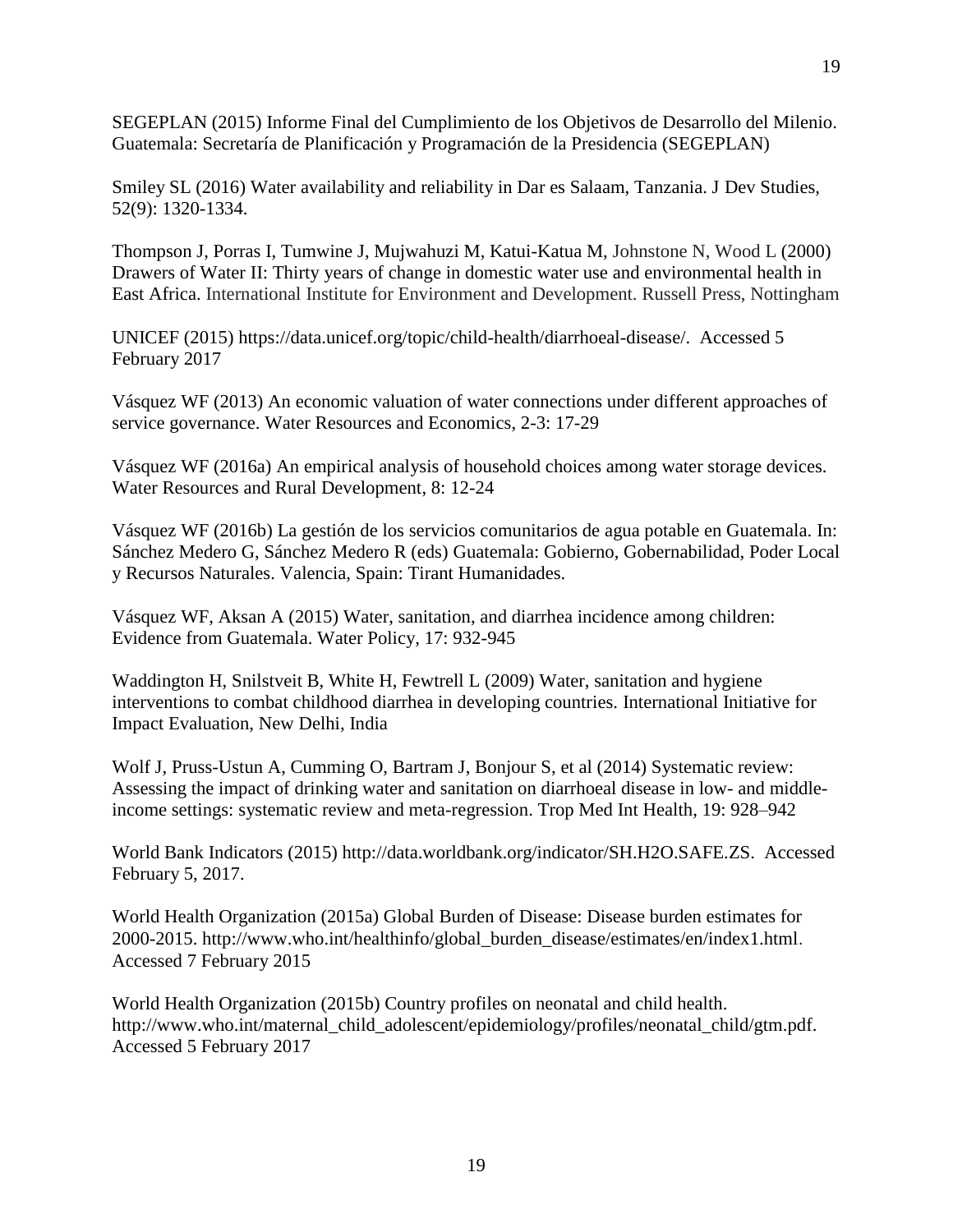SEGEPLAN (2015) Informe Final del Cumplimiento de los Objetivos de Desarrollo del Milenio. Guatemala: Secretaría de Planificación y Programación de la Presidencia (SEGEPLAN)

Smiley SL (2016) Water availability and reliability in Dar es Salaam, Tanzania. J Dev Studies, 52(9): 1320-1334.

Thompson J, Porras I, Tumwine J, Mujwahuzi M, Katui-Katua M, Johnstone N, Wood L (2000) Drawers of Water II: Thirty years of change in domestic water use and environmental health in East Africa. International Institute for Environment and Development. Russell Press, Nottingham

UNICEF (2015) https://data.unicef.org/topic/child-health/diarrhoeal-disease/. Accessed 5 February 2017

Vásquez WF (2013) An economic valuation of water connections under different approaches of service governance. Water Resources and Economics, 2-3: 17-29

Vásquez WF (2016a) An empirical analysis of household choices among water storage devices. Water Resources and Rural Development, 8: 12-24

Vásquez WF (2016b) La gestión de los servicios comunitarios de agua potable en Guatemala. In: Sánchez Medero G, Sánchez Medero R (eds) Guatemala: Gobierno, Gobernabilidad, Poder Local y Recursos Naturales. Valencia, Spain: Tirant Humanidades.

Vásquez WF, Aksan A (2015) Water, sanitation, and diarrhea incidence among children: Evidence from Guatemala. Water Policy, 17: 932-945

Waddington H, Snilstveit B, White H, Fewtrell L (2009) Water, sanitation and hygiene interventions to combat childhood diarrhea in developing countries. International Initiative for Impact Evaluation, New Delhi, India

Wolf J, Pruss-Ustun A, Cumming O, Bartram J, Bonjour S, et al (2014) Systematic review: Assessing the impact of drinking water and sanitation on diarrhoeal disease in low- and middleincome settings: systematic review and meta-regression. Trop Med Int Health, 19: 928–942

World Bank Indicators (2015) http://data.worldbank.org/indicator/SH.H2O.SAFE.ZS. Accessed February 5, 2017.

World Health Organization (2015a) Global Burden of Disease: Disease burden estimates for 2000-2015. http://www.who.int/healthinfo/global\_burden\_disease/estimates/en/index1.html. Accessed 7 February 2015

World Health Organization (2015b) Country profiles on neonatal and child health. http://www.who.int/maternal\_child\_adolescent/epidemiology/profiles/neonatal\_child/gtm.pdf. Accessed 5 February 2017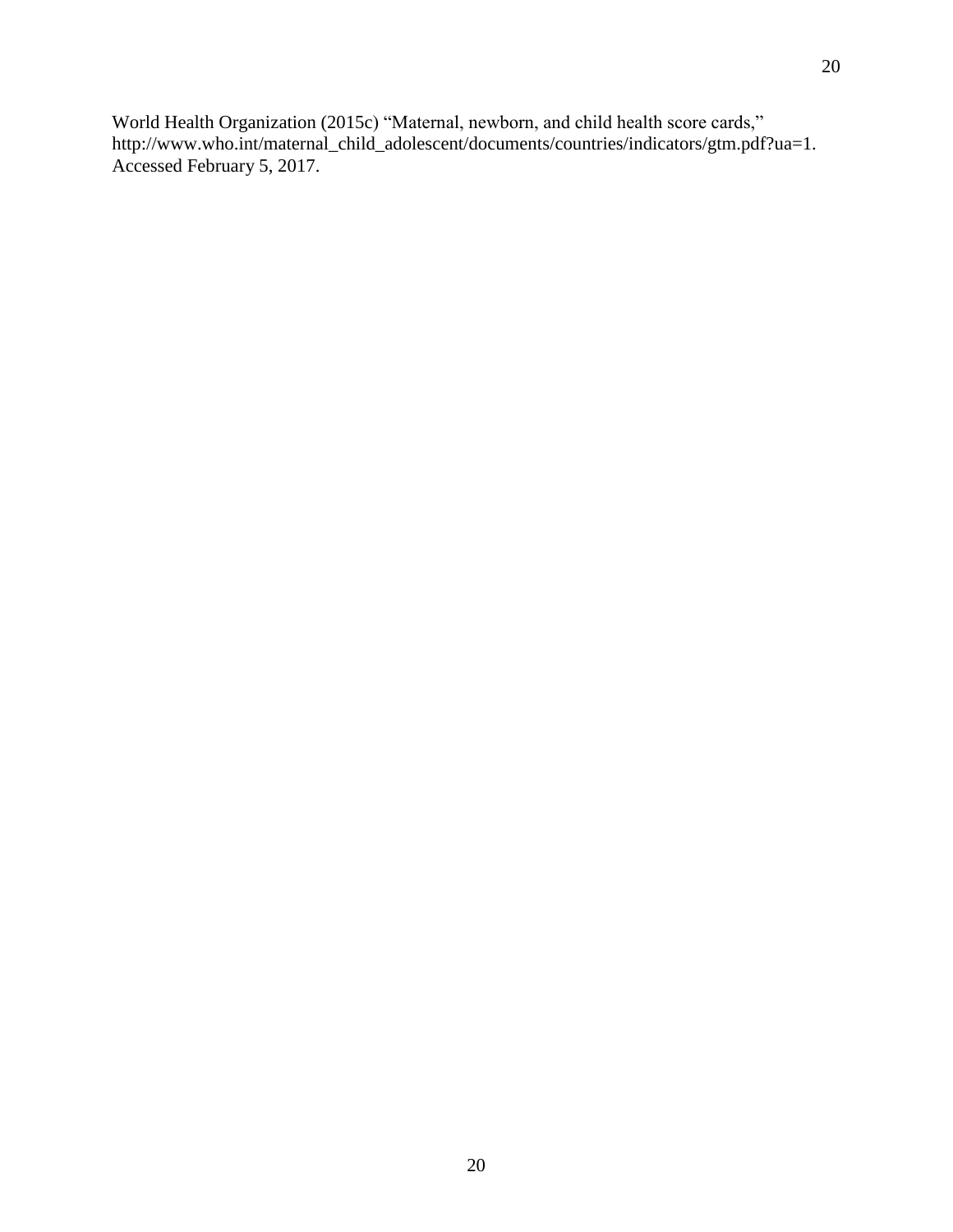World Health Organization (2015c) "Maternal, newborn, and child health score cards," http://www.who.int/maternal\_child\_adolescent/documents/countries/indicators/gtm.pdf?ua=1. Accessed February 5, 2017.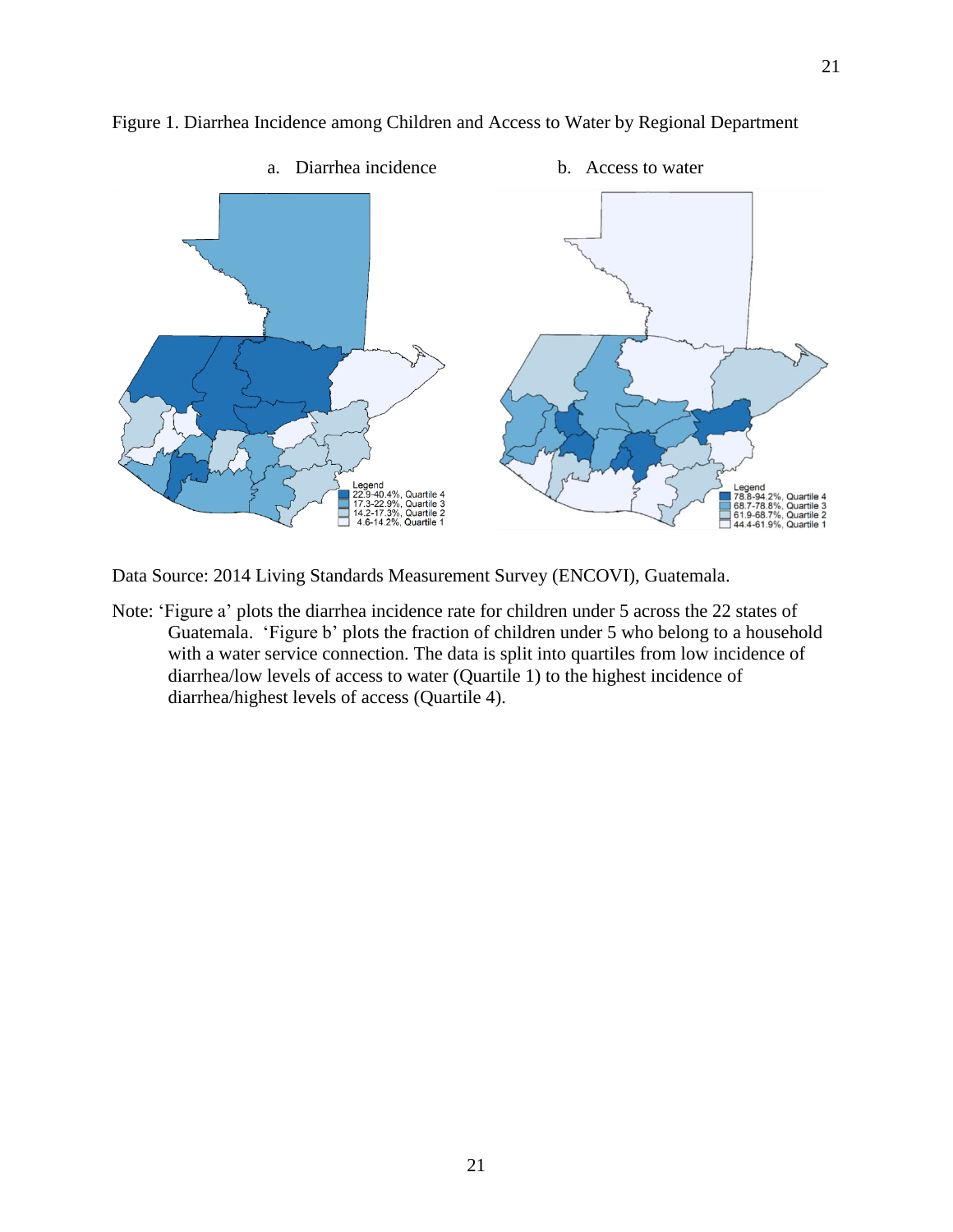

Figure 1. Diarrhea Incidence among Children and Access to Water by Regional Department

Data Source: 2014 Living Standards Measurement Survey (ENCOVI), Guatemala.

Note: 'Figure a' plots the diarrhea incidence rate for children under 5 across the 22 states of Guatemala. 'Figure b' plots the fraction of children under 5 who belong to a household with a water service connection. The data is split into quartiles from low incidence of diarrhea/low levels of access to water (Quartile 1) to the highest incidence of diarrhea/highest levels of access (Quartile 4).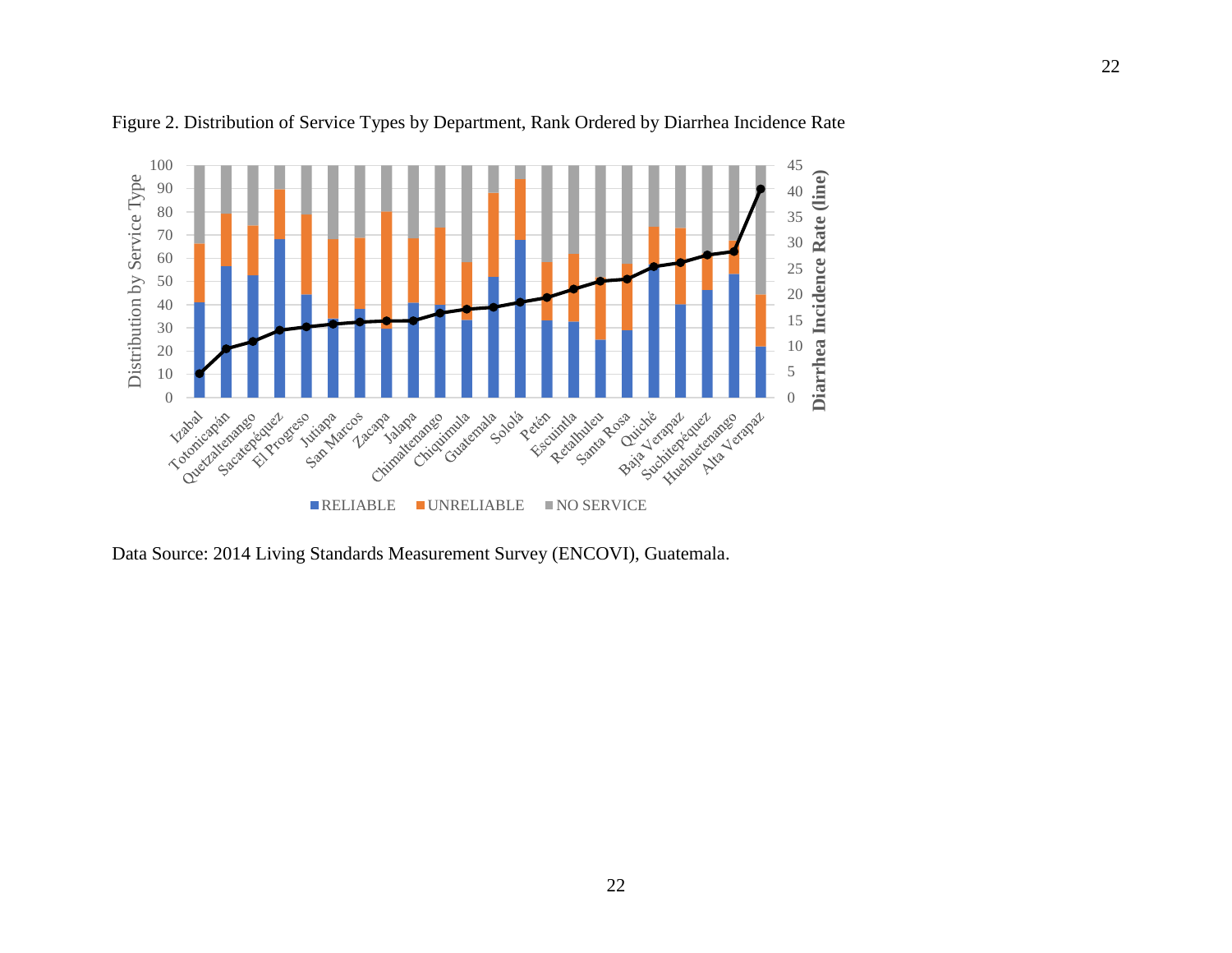

Figure 2. Distribution of Service Types by Department, Rank Ordered by Diarrhea Incidence Rate

Data Source: 2014 Living Standards Measurement Survey (ENCOVI), Guatemala.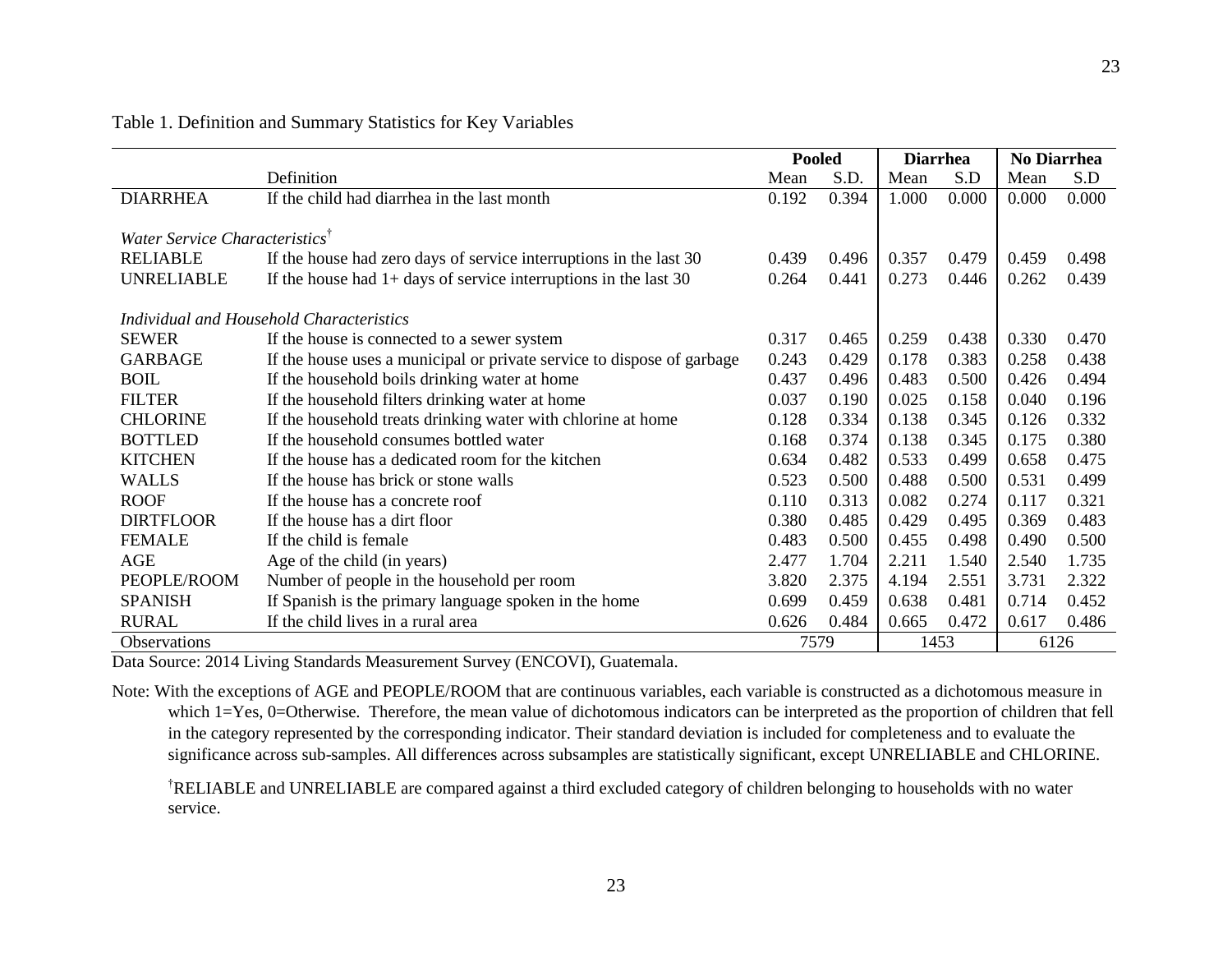|                                            |                                                                        | <b>Pooled</b> |       | <b>Diarrhea</b> |       | No Diarrhea |       |
|--------------------------------------------|------------------------------------------------------------------------|---------------|-------|-----------------|-------|-------------|-------|
|                                            | Definition                                                             | Mean          | S.D.  | Mean            | S.D   | Mean        | S.D   |
| <b>DIARRHEA</b>                            | If the child had diarrhea in the last month                            | 0.192         | 0.394 | 1.000           | 0.000 | 0.000       | 0.000 |
|                                            |                                                                        |               |       |                 |       |             |       |
| Water Service Characteristics <sup>†</sup> |                                                                        |               |       |                 |       |             |       |
| <b>RELIABLE</b>                            | If the house had zero days of service interruptions in the last 30     | 0.439         | 0.496 | 0.357           | 0.479 | 0.459       | 0.498 |
| <b>UNRELIABLE</b>                          | If the house had $1+$ days of service interruptions in the last 30     | 0.264         | 0.441 | 0.273           | 0.446 | 0.262       | 0.439 |
| Individual and Household Characteristics   |                                                                        |               |       |                 |       |             |       |
|                                            |                                                                        |               |       |                 |       |             |       |
| <b>SEWER</b>                               | If the house is connected to a sewer system                            | 0.317         | 0.465 | 0.259           | 0.438 | 0.330       | 0.470 |
| <b>GARBAGE</b>                             | If the house uses a municipal or private service to dispose of garbage | 0.243         | 0.429 | 0.178           | 0.383 | 0.258       | 0.438 |
| <b>BOIL</b>                                | If the household boils drinking water at home                          | 0.437         | 0.496 | 0.483           | 0.500 | 0.426       | 0.494 |
| <b>FILTER</b>                              | If the household filters drinking water at home                        | 0.037         | 0.190 | 0.025           | 0.158 | 0.040       | 0.196 |
| <b>CHLORINE</b>                            | If the household treats drinking water with chlorine at home           | 0.128         | 0.334 | 0.138           | 0.345 | 0.126       | 0.332 |
| <b>BOTTLED</b>                             | If the household consumes bottled water                                | 0.168         | 0.374 | 0.138           | 0.345 | 0.175       | 0.380 |
| <b>KITCHEN</b>                             | If the house has a dedicated room for the kitchen                      | 0.634         | 0.482 | 0.533           | 0.499 | 0.658       | 0.475 |
| <b>WALLS</b>                               | If the house has brick or stone walls                                  | 0.523         | 0.500 | 0.488           | 0.500 | 0.531       | 0.499 |
| <b>ROOF</b>                                | If the house has a concrete roof                                       | 0.110         | 0.313 | 0.082           | 0.274 | 0.117       | 0.321 |
| <b>DIRTFLOOR</b>                           | If the house has a dirt floor                                          | 0.380         | 0.485 | 0.429           | 0.495 | 0.369       | 0.483 |
| <b>FEMALE</b>                              | If the child is female.                                                | 0.483         | 0.500 | 0.455           | 0.498 | 0.490       | 0.500 |
| AGE                                        | Age of the child (in years)                                            | 2.477         | 1.704 | 2.211           | 1.540 | 2.540       | 1.735 |
| PEOPLE/ROOM                                | Number of people in the household per room                             | 3.820         | 2.375 | 4.194           | 2.551 | 3.731       | 2.322 |
| <b>SPANISH</b>                             | If Spanish is the primary language spoken in the home                  | 0.699         | 0.459 | 0.638           | 0.481 | 0.714       | 0.452 |
| <b>RURAL</b>                               | If the child lives in a rural area                                     | 0.626         | 0.484 | 0.665           | 0.472 | 0.617       | 0.486 |
| Observations                               |                                                                        | 7579          |       |                 | 1453  | 6126        |       |

# Table 1. Definition and Summary Statistics for Key Variables

Data Source: 2014 Living Standards Measurement Survey (ENCOVI), Guatemala.

Note: With the exceptions of AGE and PEOPLE/ROOM that are continuous variables, each variable is constructed as a dichotomous measure in which 1=Yes, 0=Otherwise. Therefore, the mean value of dichotomous indicators can be interpreted as the proportion of children that fell in the category represented by the corresponding indicator. Their standard deviation is included for completeness and to evaluate the significance across sub-samples. All differences across subsamples are statistically significant, except UNRELIABLE and CHLORINE.

†RELIABLE and UNRELIABLE are compared against a third excluded category of children belonging to households with no water service.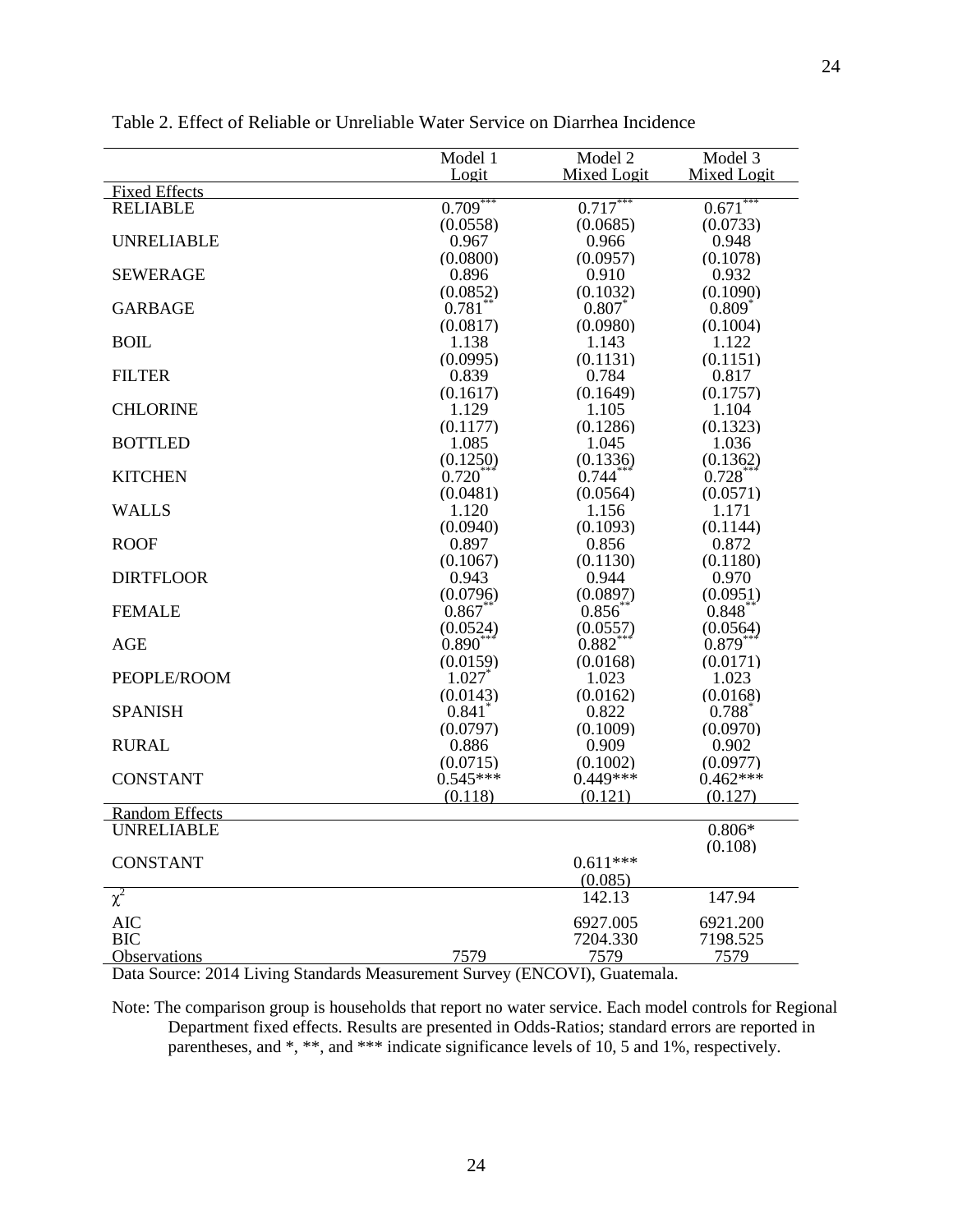|                       | Model 1     | Model 2     | Model 3              |
|-----------------------|-------------|-------------|----------------------|
| <b>Fixed Effects</b>  | Logit       | Mixed Logit | Mixed Logit          |
| <b>RELIABLE</b>       | $0.709***$  | $0.717***$  | $0.671***$           |
|                       | (0.0558)    | (0.0685)    | (0.0733)             |
| <b>UNRELIABLE</b>     | 0.967       | 0.966       | 0.948                |
|                       | (0.0800)    | (0.0957)    | (0.1078)             |
| <b>SEWERAGE</b>       | 0.896       | 0.910       | 0.932                |
|                       |             |             |                      |
|                       | (0.0852)    | (0.1032)    | (0.1090)             |
| <b>GARBAGE</b>        | 0.781       | 0.807       | $0.809$ <sup>*</sup> |
|                       | (0.0817)    | (0.0980)    | (0.1004)             |
| <b>BOIL</b>           | 1.138       | 1.143       | 1.122                |
|                       | (0.0995)    | (0.1131)    | (0.1151)             |
| <b>FILTER</b>         | 0.839       | 0.784       | 0.817                |
|                       | (0.1617)    | (0.1649)    | (0.1757)             |
| <b>CHLORINE</b>       | 1.129       | 1.105       | 1.104                |
|                       | (0.1177)    | (0.1286)    | (0.1323)             |
| <b>BOTTLED</b>        | 1.085       | 1.045       | 1.036                |
|                       | (0.1250)    | (0.1336)    | (0.1362)             |
| <b>KITCHEN</b>        | $0.720^{*}$ | $0.744*$    | $0.728$ **           |
|                       | (0.0481)    | (0.0564)    | (0.0571)             |
| <b>WALLS</b>          | 1.120       | 1.156       | 1.171                |
|                       | (0.0940)    | (0.1093)    | (0.1144)             |
| <b>ROOF</b>           | 0.897       | 0.856       | 0.872                |
|                       | (0.1067)    | (0.1130)    | (0.1180)             |
| <b>DIRTFLOOR</b>      | 0.943       | 0.944       | 0.970                |
|                       | (0.0796)    | (0.0897)    | (0.0951)             |
| <b>FEMALE</b>         | $0.867^{*}$ | $0.856^{*}$ | $0.848^{*}$          |
|                       | (0.0524)    | (0.0557)    | (0.0564)             |
| <b>AGE</b>            | $0.890*$    | $0.882*$    | $0.879*$             |
|                       | (0.0159)    | (0.0168)    | (0.0171)             |
| PEOPLE/ROOM           | 1.027       | 1.023       | 1.023                |
|                       | (0.0143)    | (0.0162)    | (0.0168)             |
| <b>SPANISH</b>        | 0.841       | 0.822       | $0.788$ <sup>*</sup> |
|                       | (0.0797)    | (0.1009)    | (0.0970)             |
| <b>RURAL</b>          | 0.886       | 0.909       | 0.902                |
|                       | (0.0715)    | (0.1002)    | (0.0977)             |
| <b>CONSTANT</b>       | $0.545***$  | $0.449***$  | $0.462***$           |
|                       | (0.118)     | (0.121)     | (0.127)              |
| <b>Random Effects</b> |             |             |                      |
| <b>UNRELIABLE</b>     |             |             | $0.806*$             |
|                       |             |             | (0.108)              |
| <b>CONSTANT</b>       |             | $0.611***$  |                      |
|                       |             | (0.085)     |                      |
| $\chi^2$              |             | 142.13      | 147.94               |
|                       |             |             |                      |
| <b>AIC</b>            |             | 6927.005    | 6921.200             |
| <b>BIC</b>            |             | 7204.330    | 7198.525             |
| Observations          | 7579        | 7579        | 7579                 |

Table 2. Effect of Reliable or Unreliable Water Service on Diarrhea Incidence

Data Source: 2014 Living Standards Measurement Survey (ENCOVI), Guatemala.

Note: The comparison group is households that report no water service. Each model controls for Regional Department fixed effects. Results are presented in Odds-Ratios; standard errors are reported in parentheses, and \*, \*\*, and \*\*\* indicate significance levels of 10, 5 and 1%, respectively.